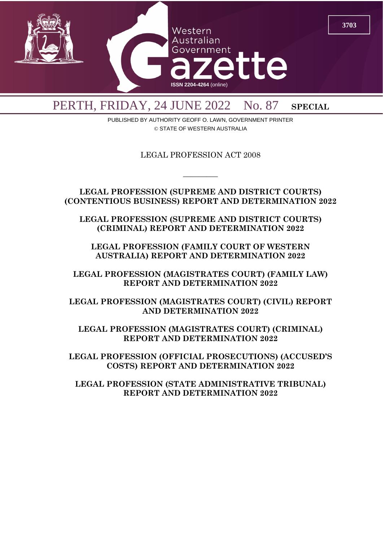

PERTH, FRIDAY, 24 JUNE 2022 No. 87 SPECIAL

PUBLISHED BY AUTHORITY GEOFF O. LAWN, GOVERNMENT PRINTER © STATE OF WESTERN AUSTRALIA

LEGAL PROFESSION ACT 2008

 $\overline{\phantom{a}}$ 

**LEGAL PROFESSION (SUPREME AND DISTRICT COURTS) (CONTENTIOUS BUSINESS) REPORT AND DETERMINATION 2022**

**LEGAL PROFESSION (SUPREME AND DISTRICT COURTS) (CRIMINAL) REPORT AND DETERMINATION 2022**

**LEGAL PROFESSION (FAMILY COURT OF WESTERN AUSTRALIA) REPORT AND DETERMINATION 2022**

**LEGAL PROFESSION (MAGISTRATES COURT) (FAMILY LAW) REPORT AND DETERMINATION 2022**

**LEGAL PROFESSION (MAGISTRATES COURT) (CIVIL) REPORT AND DETERMINATION 2022**

**LEGAL PROFESSION (MAGISTRATES COURT) (CRIMINAL) REPORT AND DETERMINATION 2022**

**LEGAL PROFESSION (OFFICIAL PROSECUTIONS) (ACCUSED'S COSTS) REPORT AND DETERMINATION 2022**

**LEGAL PROFESSION (STATE ADMINISTRATIVE TRIBUNAL) REPORT AND DETERMINATION 2022**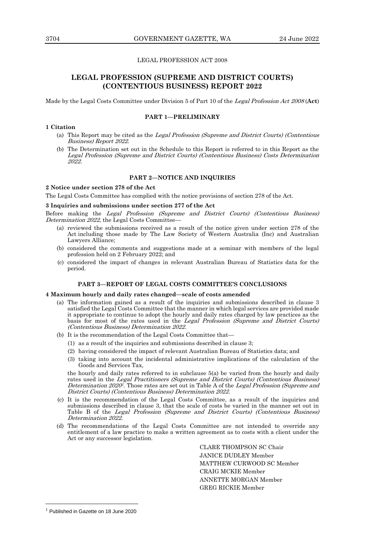## LEGAL PROFESSION ACT 2008

# **LEGAL PROFESSION (SUPREME AND DISTRICT COURTS) (CONTENTIOUS BUSINESS) REPORT 2022**

Made by the Legal Costs Committee under Division 5 of Part 10 of the Legal Profession Act <sup>2008</sup>(**Act**)

#### **PART 1—PRELIMINARY**

#### **1 Citation**

- (a) This Report may be cited as the Legal Profession (Supreme and District Courts) (Contentious Business) Report 2022.
- (b) The Determination set out in the Schedule to this Report is referred to in this Report as the Legal Profession (Supreme and District Courts) (Contentious Business) Costs Determination 2022.

#### **PART 2—NOTICE AND INQUIRIES**

# **2 Notice under section 278 of the Act**

The Legal Costs Committee has complied with the notice provisions of section 278 of the Act.

#### **3 Inquiries and submissions under section 277 of the Act**

Before making the Legal Profession (Supreme and District Courts) (Contentious Business) Determination 2022, the Legal Costs Committee-

- (a) reviewed the submissions received as a result of the notice given under section 278 of the Act including those made by The Law Society of Western Australia (Inc) and Australian Lawyers Alliance;
- (b) considered the comments and suggestions made at a seminar with members of the legal profession held on 2 February 2022; and
- (c) considered the impact of changes in relevant Australian Bureau of Statistics data for the period.

# **PART 3—REPORT OF LEGAL COSTS COMMITTEE'S CONCLUSIONS**

#### **4 Maximum hourly and daily rates changed—scale of costs amended**

- (a) The information gained as a result of the inquiries and submissions described in clause 3 satisfied the Legal Costs Committee that the manner in which legal services are provided made it appropriate to continue to adopt the hourly and daily rates charged by law practices as the basis for most of the rates used in the Legal Profession (Supreme and District Courts) (Contentious Business) Determination 2022.
- (b) It is the recommendation of the Legal Costs Committee that—
	- (1) as a result of the inquiries and submissions described in clause 3;
	- (2) having considered the impact of relevant Australian Bureau of Statistics data; and
	- (3) taking into account the incidental administrative implications of the calculation of the Goods and Services Tax,

the hourly and daily rates referred to in subclause 5(a) be varied from the hourly and daily rates used in the Legal Practitioners (Supreme and District Courts) (Contentious Business) Determination 2020<sup>1</sup>. Those rates are set out in Table A of the Legal Profession (Supreme and District Courts) (Contentious Business) Determination 2022.

- (c) It is the recommendation of the Legal Costs Committee, as a result of the inquiries and submissions described in clause 3, that the scale of costs be varied in the manner set out in Table B of the Legal Profession (Supreme and District Courts) (Contentious Business) Determination 2022
- (d) The recommendations of the Legal Costs Committee are not intended to override any entitlement of a law practice to make a written agreement as to costs with a client under the Act or any successor legislation.

CLARE THOMPSON SC Chair JANICE DUDLEY Member MATTHEW CURWOOD SC Member CRAIG MCKIE Member ANNETTE MORGAN Member GREG RICKIE Member

<sup>&</sup>lt;sup>1</sup> Published in Gazette on 18 June 2020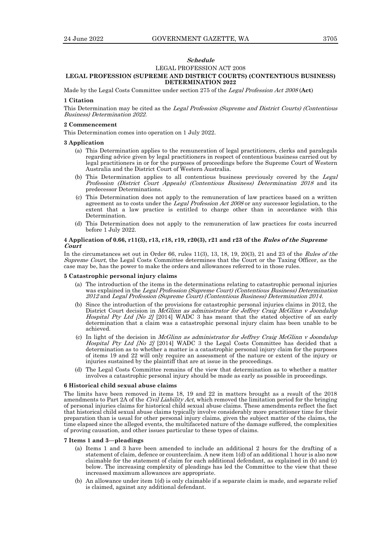# **Schedule**

#### LEGAL PROFESSION ACT 2008

# **LEGAL PROFESSION (SUPREME AND DISTRICT COURTS) (CONTENTIOUS BUSINESS) DETERMINATION 2022**

Made by the Legal Costs Committee under section 275 of the Legal Profession Act <sup>2008</sup> (**Act**)

#### **1 Citation**

This Determination may be cited as the Legal Profession (Supreme and District Courts) (Contentious Business) Determination 2022.

#### **2 Commencement**

This Determination comes into operation on 1 July 2022.

#### **3 Application**

- (a) This Determination applies to the remuneration of legal practitioners, clerks and paralegals regarding advice given by legal practitioners in respect of contentious business carried out by legal practitioners in or for the purposes of proceedings before the Supreme Court of Western Australia and the District Court of Western Australia.
- (b) This Determination applies to all contentious business previously covered by the Legal Profession (District Court Appeals) (Contentious Business) Determination 2018 and its predecessor Determinations.
- (c) This Determination does not apply to the remuneration of law practices based on a written agreement as to costs under the *Legal Profession Act 2008* or any successor legislation, to the extent that a law practice is entitled to charge other than in accordance with this Determination.
- (d) This Determination does not apply to the remuneration of law practices for costs incurred before 1 July 2022.

#### **4 Application of 0.66, r11(3), r13, r18, r19, r20(3), r21 and r23 of the Rules of the Supreme Court**

In the circumstances set out in Order 66, rules 11(3), 13, 18, 19, 20(3), 21 and 23 of the Rules of the Supreme Court, the Legal Costs Committee determines that the Court or the Taxing Officer, as the case may be, has the power to make the orders and allowances referred to in those rules.

#### **5 Catastrophic personal injury claims**

- (a) The introduction of the items in the determinations relating to catastrophic personal injuries was explained in the Legal Profession (Supreme Court) (Contentious Business) Determination <sup>2012</sup> and Legal Profession (Supreme Court) (Contentious Business) Determination 2014.
- (b) Since the introduction of the provisions for catastrophic personal injuries claims in 2012, the District Court decision in McGlinn as administrator for Jeffrey Craig McGlinn v Joondalup Hospital Pty Ltd [No 2] [2014] WADC 3 has meant that the stated objective of an early determination that a claim was a catastrophic personal injury claim has been unable to be achieved.
- (c) In light of the decision in *McGlinn as administrator for Jeffrey Craig McGlinn v Joondalup* Hospital Pty Ltd *[No 2]* [2014] WADC 3 the Legal Costs Committee has decided that a determination as to whether a matter is a catastrophic personal injury claim for the purposes of items 19 and 22 will only require an assessment of the nature or extent of the injury or injuries sustained by the plaintiff that are at issue in the proceedings.
- (d) The Legal Costs Committee remains of the view that determination as to whether a matter involves a catastrophic personal injury should be made as early as possible in proceedings.

#### **6 Historical child sexual abuse claims**

The limits have been removed in items 18, 19 and 22 in matters brought as a result of the 2018 amendments to Part 2A of the Civil Liability Act, which removed the limitation period for the bringing of personal injuries claims for historical child sexual abuse claims. These amendments reflect the fact that historical child sexual abuse claims typically involve considerably more practitioner time for their preparation than is usual for other personal injury claims, given the subject matter of the claims, the time elapsed since the alleged events, the multifaceted nature of the damage suffered, the complexities of proving causation, and other issues particular to these types of claims.

#### **7 Items 1 and 3—pleadings**

- (a) Items 1 and 3 have been amended to include an additional 2 hours for the drafting of a statement of claim, defence or counterclaim. A new item 1(d) of an additional 1 hour is also now claimable for the statement of claim for each additional defendant, as explained in (b) and (c) below. The increasing complexity of pleadings has led the Committee to the view that these increased maximum allowances are appropriate.
- (b) An allowance under item 1(d) is only claimable if a separate claim is made, and separate relief is claimed, against any additional defendant.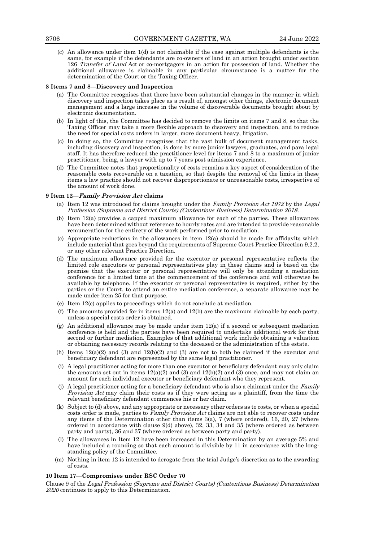(c) An allowance under item 1(d) is not claimable if the case against multiple defendants is the same, for example if the defendants are co-owners of land in an action brought under section 126 Transfer of Land Act or co-mortgagors in an action for possession of land. Whether the additional allowance is claimable in any particular circumstance is a matter for the determination of the Court or the Taxing Officer.

#### **8 Items 7 and 8—Discovery and Inspection**

- (a) The Committee recognises that there have been substantial changes in the manner in which discovery and inspection takes place as a result of, amongst other things, electronic document management and a large increase in the volume of discoverable documents brought about by electronic documentation.
- (b) In light of this, the Committee has decided to remove the limits on items 7 and 8, so that the Taxing Officer may take a more flexible approach to discovery and inspection, and to reduce the need for special costs orders in larger, more document heavy, litigation.
- (c) In doing so, the Committee recognises that the vast bulk of document management tasks, including discovery and inspection, is done by more junior lawyers, graduates, and para legal staff. It has therefore reduced the practitioner level for items 7 and 8 to a maximum of junior practitioner, being, a lawyer with up to 7 years post admission experience.
- (d) The Committee notes that proportionality of costs remains a key aspect of consideration of the reasonable costs recoverable on a taxation, so that despite the removal of the limits in these items a law practice should not recover disproportionate or unreasonable costs, irrespective of the amount of work done.

#### **9 Item 12—Family Provision Act claims**

- (a) Item 12 was introduced for claims brought under the Family Provision Act 1972 by the Legal Profession (Supreme and District Courts) (Contentious Business) Determination 2018.
- (b) Item 12(a) provides a capped maximum allowance for each of the parties. These allowances have been determined without reference to hourly rates and are intended to provide reasonable remuneration for the entirety of the work performed prior to mediation.
- (c) Appropriate reductions in the allowances in item 12(a) should be made for affidavits which include material that goes beyond the requirements of Supreme Court Practice Direction 9.2.2, or any other relevant Practice Direction.
- (d) The maximum allowance provided for the executor or personal representative reflects the limited role executors or personal representatives play in these claims and is based on the premise that the executor or personal representative will only be attending a mediation conference for a limited time at the commencement of the conference and will otherwise be available by telephone. If the executor or personal representative is required, either by the parties or the Court, to attend an entire mediation conference, a separate allowance may be made under item 25 for that purpose.
- (e) Item 12(c) applies to proceedings which do not conclude at mediation.
- (f) The amounts provided for in items  $12(a)$  and  $12(b)$  are the maximum claimable by each party, unless a special costs order is obtained.
- (g) An additional allowance may be made under item  $12(a)$  if a second or subsequent mediation conference is held and the parties have been required to undertake additional work for that second or further mediation. Examples of that additional work include obtaining a valuation or obtaining necessary records relating to the deceased or the administration of the estate.
- (h) Items  $12(a)(2)$  and  $(3)$  and  $12(b)(2)$  and  $(3)$  are not to both be claimed if the executor and beneficiary defendant are represented by the same legal practitioner.
- (i) A legal practitioner acting for more than one executor or beneficiary defendant may only claim the amounts set out in items  $12(a)(2)$  and  $(3)$  and  $12(b)(2)$  and  $(3)$  once, and may not claim an amount for each individual executor or beneficiary defendant who they represent.
- (j) A legal practitioner acting for a beneficiary defendant who is also a claimant under the Family Provision Act may claim their costs as if they were acting as a plaintiff, from the time the relevant beneficiary defendant commences his or her claim.
- (k) Subject to (d) above, and any appropriate or necessary other orders as to costs, or when a special costs order is made, parties to *Family Provision Act* claims are not able to recover costs under any items of the Determination other than items  $3(a)$ , 7 (where ordered), 16, 20, 27 (where ordered in accordance with clause 9(d) above), 32, 33, 34 and 35 (where ordered as between party and party), 36 and 37 (where ordered as between party and party).
- (l) The allowances in Item 12 have been increased in this Determination by an average 5% and have included a rounding so that each amount is divisible by 11 in accordance with the longstanding policy of the Committee.
- (m) Nothing in item 12 is intended to derogate from the trial Judge's discretion as to the awarding of costs.

#### **10 Item 17—Compromises under RSC Order 70**

Clause 9 of the Legal Profession (Supreme and District Courts) (Contentious Business) Determination 2020 continues to apply to this Determination.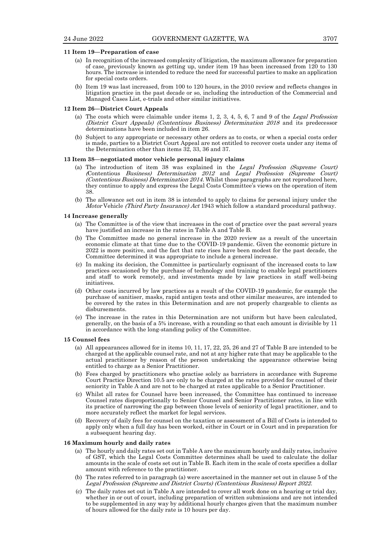#### **11 Item 19—Preparation of case**

- (a) In recognition of the increased complexity of litigation, the maximum allowance for preparation of case, previously known as getting up, under item 19 has been increased from 120 to 130 hours. The increase is intended to reduce the need for successful parties to make an application for special costs orders.
- (b) Item 19 was last increased, from 100 to 120 hours, in the 2010 review and reflects changes in litigation practice in the past decade or so, including the introduction of the Commercial and Managed Cases List, e-trials and other similar initiatives.

# **12 Item 26—District Court Appeals**

- (a) The costs which were claimable under items  $1, 2, 3, 4, 5, 6, 7$  and  $9$  of the *Legal Profession* (District Court Appeals) (Contentious Business) Determination 2018 and its predecessor determinations have been included in item 26.
- (b) Subject to any appropriate or necessary other orders as to costs, or when a special costs order is made, parties to a District Court Appeal are not entitled to recover costs under any items of the Determination other than items 32, 33, 36 and 37.

#### **13 Item 38—negotiated motor vehicle personal injury claims**

- (a) The introduction of item 38 was explained in the Legal Profession (Supreme Court) (Contentious Business) Determination <sup>2012</sup> and Legal Profession (Supreme Court) (Contentious Business) Determination 2014. Whilst those paragraphs are not reproduced here, they continue to apply and express the Legal Costs Committee's views on the operation of item 38.
- (b) The allowance set out in item 38 is intended to apply to claims for personal injury under the Motor Vehicle (Third Party Insurance) Act 1943 which follow a standard procedural pathway.

#### **14 Increase generally**

- (a) The Committee is of the view that increases in the cost of practice over the past several years have justified an increase in the rates in Table A and Table B.
- (b) The Committee made no general increase in the 2020 review as a result of the uncertain economic climate at that time due to the COVID-19 pandemic. Given the economic picture in 2022 is more positive, and the fact that rate rises have been modest for the past decade, the Committee determined it was appropriate to include a general increase.
- (c) In making its decision, the Committee is particularly cognisant of the increased costs to law practices occasioned by the purchase of technology and training to enable legal practitioners and staff to work remotely, and investments made by law practices in staff well-being initiatives.
- (d) Other costs incurred by law practices as a result of the COVID-19 pandemic, for example the purchase of sanitiser, masks, rapid antigen tests and other similar measures, are intended to be covered by the rates in this Determination and are not properly chargeable to clients as disbursements.
- (e) The increase in the rates in this Determination are not uniform but have been calculated, generally, on the basis of a 5% increase, with a rounding so that each amount is divisible by 11 in accordance with the long-standing policy of the Committee.

#### **15 Counsel fees**

- (a) All appearances allowed for in items 10, 11, 17, 22, 25, 26 and 27 of Table B are intended to be charged at the applicable counsel rate, and not at any higher rate that may be applicable to the actual practitioner by reason of the person undertaking the appearance otherwise being entitled to charge as a Senior Practitioner.
- (b) Fees charged by practitioners who practise solely as barristers in accordance with Supreme Court Practice Direction 10.5 are only to be charged at the rates provided for counsel of their seniority in Table A and are not to be charged at rates applicable to a Senior Practitioner.
- (c) Whilst all rates for Counsel have been increased, the Committee has continued to increase Counsel rates disproportionally to Senior Counsel and Senior Practitioner rates, in line with its practice of narrowing the gap between those levels of seniority of legal practitioner, and to more accurately reflect the market for legal services.
- (d) Recovery of daily fees for counsel on the taxation or assessment of a Bill of Costs is intended to apply only when a full day has been worked, either in Court or in Court and in preparation for a subsequent hearing day.

#### **16 Maximum hourly and daily rates**

- (a) The hourly and daily rates set out in Table A are the maximum hourly and daily rates, inclusive of GST, which the Legal Costs Committee determines shall be used to calculate the dollar amounts in the scale of costs set out in Table B. Each item in the scale of costs specifies a dollar amount with reference to the practitioner.
- (b) The rates referred to in paragraph (a) were ascertained in the manner set out in clause 5 of the Legal Profession (Supreme and District Courts) (Contentious Business) Report 2022.
- (c) The daily rates set out in Table A are intended to cover all work done on a hearing or trial day, whether in or out of court, including preparation of written submissions and are not intended to be supplemented in any way by additional hourly charges given that the maximum number of hours allowed for the daily rate is 10 hours per day.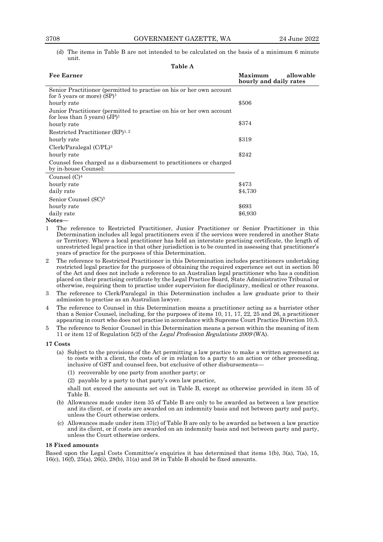(d) The items in Table B are not intended to be calculated on the basis of a minimum 6 minute unit.

|  |  | 'able A |
|--|--|---------|
|  |  |         |

| <b>Fee Earner</b>                                                                                       | allowable<br>Maximum<br>hourly and daily rates |
|---------------------------------------------------------------------------------------------------------|------------------------------------------------|
| Senior Practitioner (permitted to practise on his or her own account<br>for 5 years or more) $(SP)^1$   |                                                |
| hourly rate                                                                                             | \$506                                          |
| Junior Practitioner (permitted to practise on his or her own account<br>for less than 5 years) $(JP)^1$ |                                                |
| hourly rate                                                                                             | \$374                                          |
| Restricted Practitioner (RP) <sup>1, 2</sup>                                                            |                                                |
| hourly rate                                                                                             | \$319                                          |
| Clerk/Paralegal (C/PL) <sup>3</sup>                                                                     |                                                |
| hourly rate                                                                                             | \$242                                          |
| Counsel fees charged as a disbursement to practitioners or charged<br>by in-house Counsel:              |                                                |
| Counsel $(C)^4$                                                                                         |                                                |
| hourly rate                                                                                             | \$473                                          |
| daily rate                                                                                              | \$4,730                                        |
| Senior Counsel (SC) <sup>5</sup>                                                                        |                                                |
| hourly rate                                                                                             | \$693                                          |
| daily rate                                                                                              | \$6,930                                        |

#### **Notes—**

- 1 The reference to Restricted Practitioner, Junior Practitioner or Senior Practitioner in this Determination includes all legal practitioners even if the services were rendered in another State or Territory. Where a local practitioner has held an interstate practising certificate, the length of unrestricted legal practice in that other jurisdiction is to be counted in assessing that practitioner's years of practice for the purposes of this Determination.
- 2 The reference to Restricted Practitioner in this Determination includes practitioners undertaking restricted legal practice for the purposes of obtaining the required experience set out in section 50 of the Act and does not include a reference to an Australian legal practitioner who has a condition placed on their practising certificate by the Legal Practice Board, State Administrative Tribunal or otherwise, requiring them to practise under supervision for disciplinary, medical or other reasons.
- 3 The reference to Clerk/Paralegal in this Determination includes a law graduate prior to their admission to practise as an Australian lawyer.
- 4 The reference to Counsel in this Determination means a practitioner acting as a barrister other than a Senior Counsel, including, for the purposes of items 10, 11, 17, 22, 25 and 26, a practitioner appearing in court who does not practise in accordance with Supreme Court Practice Direction 10.5.
- 5 The reference to Senior Counsel in this Determination means a person within the meaning of item 11 or item 12 of Regulation 5(2) of the Legal Profession Regulations <sup>2009</sup>(WA).

#### **17 Costs**

- (a) Subject to the provisions of the Act permitting a law practice to make a written agreement as to costs with a client, the costs of or in relation to a party to an action or other proceeding, inclusive of GST and counsel fees, but exclusive of other disbursements—
	- (1) recoverable by one party from another party; or
	- (2) payable by a party to that party's own law practice,

shall not exceed the amounts set out in Table B, except as otherwise provided in item 35 of Table B.

- (b) Allowances made under item 35 of Table B are only to be awarded as between a law practice and its client, or if costs are awarded on an indemnity basis and not between party and party, unless the Court otherwise orders.
- (c) Allowances made under item 37(c) of Table B are only to be awarded as between a law practice and its client, or if costs are awarded on an indemnity basis and not between party and party, unless the Court otherwise orders.

#### **18 Fixed amounts**

Based upon the Legal Costs Committee's enquiries it has determined that items 1(b), 3(a), 7(a), 15, 16(c), 16(f), 25(a), 26(i), 28(b), 31(a) and 38 in Table B should be fixed amounts.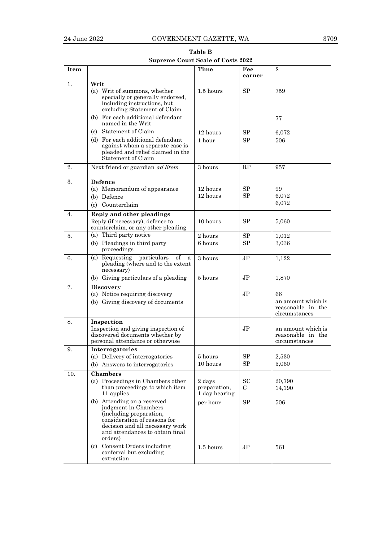| Table B                                  |  |
|------------------------------------------|--|
| <b>Supreme Court Scale of Costs 2022</b> |  |

| Item |                                                                                                                                                                                                 | <b>Time</b>                             | Fee<br>earner            | \$                                                             |
|------|-------------------------------------------------------------------------------------------------------------------------------------------------------------------------------------------------|-----------------------------------------|--------------------------|----------------------------------------------------------------|
| 1.   | Writ                                                                                                                                                                                            |                                         |                          |                                                                |
|      | (a) Writ of summons, whether<br>specially or generally endorsed,<br>including instructions, but<br>excluding Statement of Claim                                                                 | 1.5 hours                               | <b>SP</b>                | 759                                                            |
|      | (b) For each additional defendant<br>named in the Writ                                                                                                                                          |                                         |                          | 77                                                             |
|      | (c) Statement of Claim                                                                                                                                                                          | 12 hours                                | SP                       | 6,072                                                          |
|      | (d) For each additional defendant<br>against whom a separate case is<br>pleaded and relief claimed in the<br>Statement of Claim                                                                 | 1 hour                                  | SP                       | 506                                                            |
| 2.   | Next friend or guardian ad litem                                                                                                                                                                | 3 hours                                 | RP                       | 957                                                            |
| 3.   | Defence<br>(a) Memorandum of appearance<br>(b) Defence<br>(c) Counterclaim                                                                                                                      | 12 hours<br>12 hours                    | SP<br>SP                 | 99<br>6,072<br>6,072                                           |
| 4.   | Reply and other pleadings<br>Reply (if necessary), defence to<br>counterclaim, or any other pleading                                                                                            | 10 hours                                | SP                       | 5,060                                                          |
| 5.   | (a) Third party notice<br>(b) Pleadings in third party<br>proceedings                                                                                                                           | 2 hours<br>6 hours                      | SP<br>SP                 | 1,012<br>3,036                                                 |
| 6.   | (a) Requesting particulars<br>οf<br>a<br>pleading (where and to the extent<br>necessary)                                                                                                        | 3 hours                                 | JP.                      | 1,122                                                          |
|      | (b) Giving particulars of a pleading                                                                                                                                                            | 5 hours                                 | JP                       | 1,870                                                          |
| 7.   | <b>Discovery</b><br>(a) Notice requiring discovery<br>(b) Giving discovery of documents                                                                                                         |                                         | JP.                      | 66<br>an amount which is<br>reasonable in the<br>circumstances |
| 8.   | Inspection<br>Inspection and giving inspection of<br>discovered documents whether by<br>personal attendance or otherwise                                                                        |                                         | JP                       | an amount which is<br>reasonable in the<br>circumstances       |
| 9.   | Interrogatories<br>(a) Delivery of interrogatories<br>(b) Answers to interrogatories                                                                                                            | 5 hours<br>10 hours                     | SP<br>SP                 | 2,530<br>5,060                                                 |
| 10.  | <b>Chambers</b>                                                                                                                                                                                 |                                         |                          |                                                                |
|      | (a) Proceedings in Chambers other<br>than proceedings to which item<br>11 applies                                                                                                               | 2 days<br>preparation,<br>1 day hearing | <b>SC</b><br>$\mathbf C$ | 20,790<br>14,190                                               |
|      | (b) Attending on a reserved<br>judgment in Chambers<br>(including preparation,<br>consideration of reasons for<br>decision and all necessary work<br>and attendances to obtain final<br>orders) | per hour                                | <b>SP</b>                | 506                                                            |
|      | (c) Consent Orders including<br>conferral but excluding<br>extraction                                                                                                                           | $1.5$ hours                             | J <sub>P</sub>           | 561                                                            |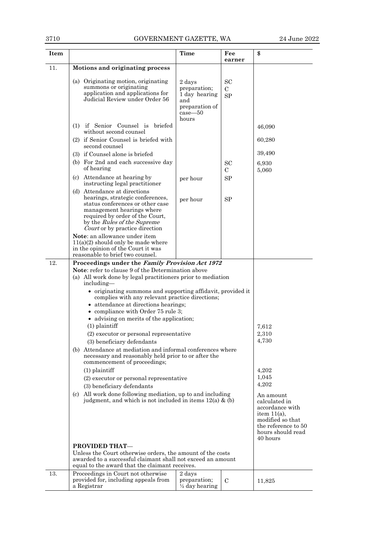| <b>Item</b> |                                                                                                                                                                                                                                                                                                                                                                                                                                                                                                                                                                                                                                                                                                                                                                                                                                                                                                                                  | Time                                                                                     | Fee<br>earner                     | \$                                                                                                                                                                                                |
|-------------|----------------------------------------------------------------------------------------------------------------------------------------------------------------------------------------------------------------------------------------------------------------------------------------------------------------------------------------------------------------------------------------------------------------------------------------------------------------------------------------------------------------------------------------------------------------------------------------------------------------------------------------------------------------------------------------------------------------------------------------------------------------------------------------------------------------------------------------------------------------------------------------------------------------------------------|------------------------------------------------------------------------------------------|-----------------------------------|---------------------------------------------------------------------------------------------------------------------------------------------------------------------------------------------------|
| 11.         | Motions and originating process                                                                                                                                                                                                                                                                                                                                                                                                                                                                                                                                                                                                                                                                                                                                                                                                                                                                                                  |                                                                                          |                                   |                                                                                                                                                                                                   |
|             | (a) Originating motion, originating<br>summons or originating<br>application and applications for<br>Judicial Review under Order 56                                                                                                                                                                                                                                                                                                                                                                                                                                                                                                                                                                                                                                                                                                                                                                                              | 2 days<br>preparation:<br>1 day hearing<br>and<br>preparation of<br>$case - 50$<br>hours | <b>SC</b><br>$\rm C$<br><b>SP</b> |                                                                                                                                                                                                   |
|             | (1) if Senior Counsel is briefed                                                                                                                                                                                                                                                                                                                                                                                                                                                                                                                                                                                                                                                                                                                                                                                                                                                                                                 |                                                                                          |                                   | 46,090                                                                                                                                                                                            |
|             | without second counsel<br>(2) if Senior Counsel is briefed with<br>second counsel                                                                                                                                                                                                                                                                                                                                                                                                                                                                                                                                                                                                                                                                                                                                                                                                                                                |                                                                                          |                                   | 60,280                                                                                                                                                                                            |
|             | (3) if Counsel alone is briefed                                                                                                                                                                                                                                                                                                                                                                                                                                                                                                                                                                                                                                                                                                                                                                                                                                                                                                  |                                                                                          |                                   | 39,490                                                                                                                                                                                            |
|             | (b) For 2nd and each successive day<br>of hearing                                                                                                                                                                                                                                                                                                                                                                                                                                                                                                                                                                                                                                                                                                                                                                                                                                                                                |                                                                                          | <b>SC</b><br>C.                   | 6,930<br>5,060                                                                                                                                                                                    |
|             | (c) Attendance at hearing by<br>instructing legal practitioner                                                                                                                                                                                                                                                                                                                                                                                                                                                                                                                                                                                                                                                                                                                                                                                                                                                                   | per hour                                                                                 | SP                                |                                                                                                                                                                                                   |
|             | (d) Attendance at directions<br>hearings, strategic conferences,<br>status conferences or other case<br>management hearings where<br>required by order of the Court,<br>by the <i>Rules of the Supreme</i><br>Court or by practice direction<br>Note: an allowance under item                                                                                                                                                                                                                                                                                                                                                                                                                                                                                                                                                                                                                                                    | per hour                                                                                 | SP                                |                                                                                                                                                                                                   |
|             | $11(a)(2)$ should only be made where<br>in the opinion of the Court it was<br>reasonable to brief two counsel.                                                                                                                                                                                                                                                                                                                                                                                                                                                                                                                                                                                                                                                                                                                                                                                                                   |                                                                                          |                                   |                                                                                                                                                                                                   |
| 12.         | Proceedings under the Family Provision Act 1972<br><b>Note:</b> refer to clause 9 of the Determination above<br>(a) All work done by legal practitioners prior to mediation<br>including—<br>• originating summons and supporting affidavit, provided it<br>complies with any relevant practice directions;<br>• attendance at directions hearings;<br>• compliance with Order 75 rule 3;<br>• advising on merits of the application;<br>$(1)$ plaintiff<br>(2) executor or personal representative<br>(3) beneficiary defendants<br>(b) Attendance at mediation and informal conferences where<br>necessary and reasonably held prior to or after the<br>commencement of proceedings;<br>$(1)$ plaintiff<br>(2) executor or personal representative<br>(3) beneficiary defendants<br>(c) All work done following mediation, up to and including<br>judgment, and which is not included in items $12(a)$ & (b)<br>PROVIDED THAT- |                                                                                          |                                   | 7,612<br>2,310<br>4,730<br>4,202<br>1,045<br>4,202<br>An amount<br>calculated in<br>accordance with<br>item $11(a)$ ,<br>modified so that<br>the reference to 50<br>hours should read<br>40 hours |
|             | Unless the Court otherwise orders, the amount of the costs<br>awarded to a successful claimant shall not exceed an amount<br>equal to the award that the claimant receives.                                                                                                                                                                                                                                                                                                                                                                                                                                                                                                                                                                                                                                                                                                                                                      |                                                                                          |                                   |                                                                                                                                                                                                   |
| 13.         | Proceedings in Court not otherwise<br>provided for, including appeals from<br>a Registrar                                                                                                                                                                                                                                                                                                                                                                                                                                                                                                                                                                                                                                                                                                                                                                                                                                        | 2 days<br>preparation;<br>$\frac{1}{2}$ day hearing                                      | $\mathcal{C}$                     | 11,825                                                                                                                                                                                            |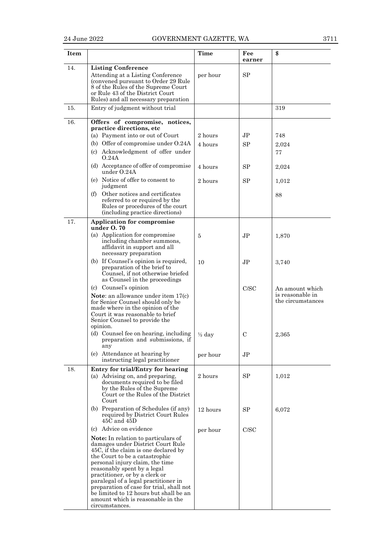| I |
|---|
|---|

| <b>Item</b> |                                                                                                                                                                                                                                                                                                                                                                                                                                                                       | Time                                     | Fee<br>earner        | \$                                                                |
|-------------|-----------------------------------------------------------------------------------------------------------------------------------------------------------------------------------------------------------------------------------------------------------------------------------------------------------------------------------------------------------------------------------------------------------------------------------------------------------------------|------------------------------------------|----------------------|-------------------------------------------------------------------|
| 14.         | <b>Listing Conference</b><br>Attending at a Listing Conference<br>(convened pursuant to Order 29 Rule<br>8 of the Rules of the Supreme Court<br>or Rule 43 of the District Court<br>Rules) and all necessary preparation                                                                                                                                                                                                                                              | per hour                                 | SP                   |                                                                   |
| 15.         | Entry of judgment without trial                                                                                                                                                                                                                                                                                                                                                                                                                                       |                                          |                      | 319                                                               |
| 16.         | Offers of compromise, notices,<br>practice directions, etc<br>(a) Payment into or out of Court<br>(b) Offer of compromise under O.24A<br>(c) Acknowledgment of offer under<br>O.24A<br>(d) Acceptance of offer of compromise<br>under O.24A<br>(e) Notice of offer to consent to<br>judgment<br>(f) Other notices and certificates<br>referred to or required by the<br>Rules or procedures of the court<br>(including practice directions)                           | 2 hours<br>4 hours<br>4 hours<br>2 hours | JP<br>SP<br>SP<br>SP | 748<br>2,024<br>77<br>2,024<br>1,012<br>88                        |
| 17.         | <b>Application for compromise</b><br>under $0.70$<br>(a) Application for compromise<br>including chamber summons,<br>affidavit in support and all                                                                                                                                                                                                                                                                                                                     | 5                                        | JP.                  | 1,870                                                             |
|             | necessary preparation<br>(b) If Counsel's opinion is required,<br>preparation of the brief to<br>Counsel, if not otherwise briefed<br>as Counsel in the proceedings                                                                                                                                                                                                                                                                                                   | 10                                       | JP.                  | 3,740                                                             |
|             | (c) Counsel's opinion<br>Note: an allowance under item 17(c)<br>for Senior Counsel should only be<br>made where in the opinion of the<br>Court it was reasonable to brief<br>Senior Counsel to provide the<br>opinion.<br>(d) Counsel fee on hearing, including                                                                                                                                                                                                       | $\frac{1}{2}$ day                        | C/SC<br>С            | An amount which<br>is reasonable in<br>the circumstances<br>2,365 |
|             | preparation and submissions, if<br>any<br>(e) Attendance at hearing by<br>instructing legal practitioner                                                                                                                                                                                                                                                                                                                                                              | per hour                                 | J <sub>P</sub>       |                                                                   |
| 18.         | Entry for trial/Entry for hearing<br>(a) Advising on, and preparing,<br>documents required to be filed<br>by the Rules of the Supreme<br>Court or the Rules of the District<br>Court                                                                                                                                                                                                                                                                                  | 2 hours                                  | SP                   | 1,012                                                             |
|             | (b) Preparation of Schedules (if any)<br>required by District Court Rules<br>$45C$ and $45D$                                                                                                                                                                                                                                                                                                                                                                          | 12 hours                                 | SP                   | 6,072                                                             |
|             | (c) Advice on evidence<br>Note: In relation to particulars of<br>damages under District Court Rule<br>45C, if the claim is one declared by<br>the Court to be a catastrophic<br>personal injury claim, the time<br>reasonably spent by a legal<br>practitioner, or by a clerk or<br>paralegal of a legal practitioner in<br>preparation of case for trial, shall not<br>be limited to 12 hours but shall be an<br>amount which is reasonable in the<br>circumstances. | per hour                                 | C/SC                 |                                                                   |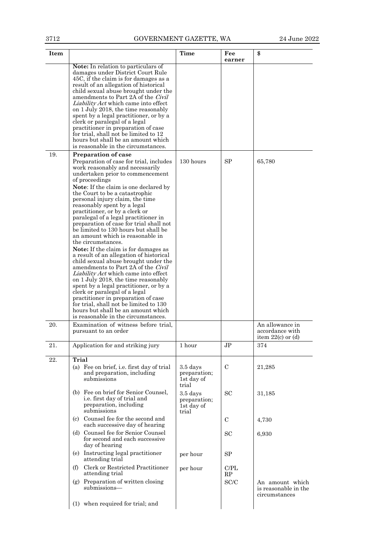| <b>Item</b> |                                                                                                                                                                                                                                                                                                                                                                                                                                                                                                                                                                                                                                                                                                                                                                                                                                                                                                                                                                                                                                           | <b>Time</b>                                       | Fee<br>earner | \$                                                          |
|-------------|-------------------------------------------------------------------------------------------------------------------------------------------------------------------------------------------------------------------------------------------------------------------------------------------------------------------------------------------------------------------------------------------------------------------------------------------------------------------------------------------------------------------------------------------------------------------------------------------------------------------------------------------------------------------------------------------------------------------------------------------------------------------------------------------------------------------------------------------------------------------------------------------------------------------------------------------------------------------------------------------------------------------------------------------|---------------------------------------------------|---------------|-------------------------------------------------------------|
|             | <b>Note:</b> In relation to particulars of<br>damages under District Court Rule<br>45C, if the claim is for damages as a<br>result of an allegation of historical<br>child sexual abuse brought under the<br>amendments to Part 2A of the Civil<br><i>Liability Act</i> which came into effect<br>on 1 July 2018, the time reasonably<br>spent by a legal practitioner, or by a<br>clerk or paralegal of a legal<br>practitioner in preparation of case<br>for trial, shall not be limited to 12<br>hours but shall be an amount which<br>is reasonable in the circumstances.                                                                                                                                                                                                                                                                                                                                                                                                                                                             |                                                   |               |                                                             |
| 19.         | <b>Preparation of case</b><br>Preparation of case for trial, includes<br>work reasonably and necessarily<br>undertaken prior to commencement<br>of proceedings<br><b>Note:</b> If the claim is one declared by<br>the Court to be a catastrophic<br>personal injury claim, the time<br>reasonably spent by a legal<br>practitioner, or by a clerk or<br>paralegal of a legal practitioner in<br>preparation of case for trial shall not<br>be limited to 130 hours but shall be<br>an amount which is reasonable in<br>the circumstances.<br>Note: If the claim is for damages as<br>a result of an allegation of historical<br>child sexual abuse brought under the<br>amendments to Part 2A of the Civil<br><i>Liability Act</i> which came into effect<br>on 1 July 2018, the time reasonably<br>spent by a legal practitioner, or by a<br>clerk or paralegal of a legal<br>practitioner in preparation of case<br>for trial, shall not be limited to 130<br>hours but shall be an amount which<br>is reasonable in the circumstances. | 130 hours                                         | SP            | 65,780                                                      |
| 20.         | Examination of witness before trial,<br>pursuant to an order                                                                                                                                                                                                                                                                                                                                                                                                                                                                                                                                                                                                                                                                                                                                                                                                                                                                                                                                                                              |                                                   |               | An allowance in<br>accordance with<br>item $22(c)$ or $(d)$ |
| 21.         | Application for and striking jury                                                                                                                                                                                                                                                                                                                                                                                                                                                                                                                                                                                                                                                                                                                                                                                                                                                                                                                                                                                                         | 1 hour                                            | JP            | 374                                                         |
| 22.         | Trial<br>(a) Fee on brief, i.e. first day of trial<br>and preparation, including<br>submissions                                                                                                                                                                                                                                                                                                                                                                                                                                                                                                                                                                                                                                                                                                                                                                                                                                                                                                                                           | $3.5$ days<br>preparation;<br>1st day of<br>trial | $\mathcal{C}$ | 21,285                                                      |
|             | (b) Fee on brief for Senior Counsel,<br>i.e. first day of trial and<br>preparation, including<br>submissions                                                                                                                                                                                                                                                                                                                                                                                                                                                                                                                                                                                                                                                                                                                                                                                                                                                                                                                              | $3.5$ days<br>preparation;<br>1st day of<br>trial | <b>SC</b>     | 31,185                                                      |
|             | (c) Counsel fee for the second and<br>each successive day of hearing                                                                                                                                                                                                                                                                                                                                                                                                                                                                                                                                                                                                                                                                                                                                                                                                                                                                                                                                                                      |                                                   | $\mathcal{C}$ | 4,730                                                       |
|             | (d) Counsel fee for Senior Counsel<br>for second and each successive<br>day of hearing                                                                                                                                                                                                                                                                                                                                                                                                                                                                                                                                                                                                                                                                                                                                                                                                                                                                                                                                                    |                                                   | <b>SC</b>     | 6,930                                                       |
|             | (e) Instructing legal practitioner<br>attending trial                                                                                                                                                                                                                                                                                                                                                                                                                                                                                                                                                                                                                                                                                                                                                                                                                                                                                                                                                                                     | per hour                                          | SP            |                                                             |
|             | Clerk or Restricted Practitioner<br>(f)<br>attending trial                                                                                                                                                                                                                                                                                                                                                                                                                                                                                                                                                                                                                                                                                                                                                                                                                                                                                                                                                                                | per hour                                          | C/PL<br>RP    |                                                             |
|             | (g) Preparation of written closing<br>submissions—                                                                                                                                                                                                                                                                                                                                                                                                                                                                                                                                                                                                                                                                                                                                                                                                                                                                                                                                                                                        |                                                   | SC/C          | An amount which<br>is reasonable in the<br>circumstances    |
|             | (1) when required for trial; and                                                                                                                                                                                                                                                                                                                                                                                                                                                                                                                                                                                                                                                                                                                                                                                                                                                                                                                                                                                                          |                                                   |               |                                                             |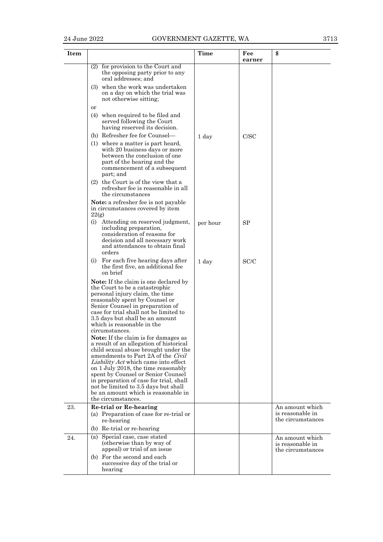| Item |                                                                                                                                                                                                                                                                                                                                                                                                                                                                           | <b>Time</b> | Fee       | \$                                                       |
|------|---------------------------------------------------------------------------------------------------------------------------------------------------------------------------------------------------------------------------------------------------------------------------------------------------------------------------------------------------------------------------------------------------------------------------------------------------------------------------|-------------|-----------|----------------------------------------------------------|
|      |                                                                                                                                                                                                                                                                                                                                                                                                                                                                           |             | earner    |                                                          |
|      | $(2)$ for provision to the Court and<br>the opposing party prior to any<br>oral addresses; and                                                                                                                                                                                                                                                                                                                                                                            |             |           |                                                          |
|      | (3) when the work was undertaken<br>on a day on which the trial was<br>not otherwise sitting;                                                                                                                                                                                                                                                                                                                                                                             |             |           |                                                          |
|      | or<br>(4) when required to be filed and<br>served following the Court<br>having reserved its decision.                                                                                                                                                                                                                                                                                                                                                                    |             |           |                                                          |
|      | (h) Refresher fee for Counsel—                                                                                                                                                                                                                                                                                                                                                                                                                                            | 1 day       | C/SC      |                                                          |
|      | (1) where a matter is part heard,<br>with 20 business days or more<br>between the conclusion of one<br>part of the hearing and the<br>commencement of a subsequent<br>part; and                                                                                                                                                                                                                                                                                           |             |           |                                                          |
|      | (2) the Court is of the view that a<br>refresher fee is reasonable in all<br>the circumstances                                                                                                                                                                                                                                                                                                                                                                            |             |           |                                                          |
|      | Note: a refresher fee is not payable<br>in circumstances covered by item<br>22(g)                                                                                                                                                                                                                                                                                                                                                                                         |             |           |                                                          |
|      | (i) Attending on reserved judgment,<br>including preparation,<br>consideration of reasons for<br>decision and all necessary work<br>and attendances to obtain final<br>orders                                                                                                                                                                                                                                                                                             | per hour    | <b>SP</b> |                                                          |
|      | For each five hearing days after<br>(i)<br>the first five, an additional fee<br>on brief                                                                                                                                                                                                                                                                                                                                                                                  | 1 day       | SC/C      |                                                          |
|      | Note: If the claim is one declared by<br>the Court to be a catastrophic<br>personal injury claim, the time<br>reasonably spent by Counsel or<br>Senior Counsel in preparation of<br>case for trial shall not be limited to<br>3.5 days but shall be an amount<br>which is reasonable in the                                                                                                                                                                               |             |           |                                                          |
|      | circumstances.<br><b>Note:</b> If the claim is for damages as<br>a result of an allegation of historical<br>child sexual abuse brought under the<br>amendments to Part 2A of the <i>Civil</i><br><i>Liability Act</i> which came into effect<br>on 1 July 2018, the time reasonably<br>spent by Counsel or Senior Counsel<br>in preparation of case for trial, shall<br>not be limited to 3.5 days but shall<br>be an amount which is reasonable in<br>the circumstances. |             |           |                                                          |
| 23.  | <b>Re-trial or Re-hearing</b><br>(a) Preparation of case for re-trial or<br>re-hearing                                                                                                                                                                                                                                                                                                                                                                                    |             |           | An amount which<br>is reasonable in<br>the circumstances |
|      | (b) Re-trial or re-hearing                                                                                                                                                                                                                                                                                                                                                                                                                                                |             |           |                                                          |
| 24.  | (a) Special case, case stated<br>(otherwise than by way of<br>appeal) or trial of an issue                                                                                                                                                                                                                                                                                                                                                                                |             |           | An amount which<br>is reasonable in<br>the circumstances |
|      | (b) For the second and each<br>successive day of the trial or<br>hearing                                                                                                                                                                                                                                                                                                                                                                                                  |             |           |                                                          |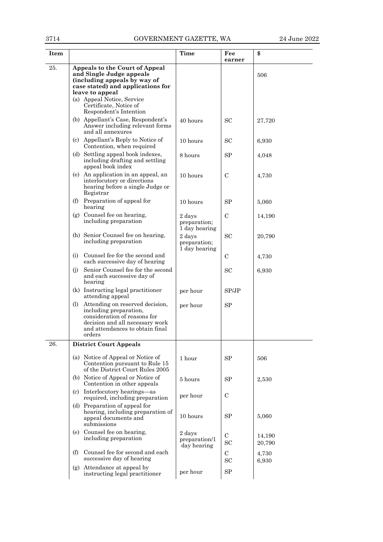| 3714 | GOVERNMENT GAZETTE, WA                                                                                                                                                                                                               | 24 June 2022                            |                            |                  |
|------|--------------------------------------------------------------------------------------------------------------------------------------------------------------------------------------------------------------------------------------|-----------------------------------------|----------------------------|------------------|
| Item |                                                                                                                                                                                                                                      | <b>Time</b>                             | Fee<br>earner              | \$               |
| 25.  | Appeals to the Court of Appeal<br>and Single Judge appeals<br>(including appeals by way of<br>case stated) and applications for<br>leave to appeal<br>(a) Appeal Notice, Service<br>Certificate, Notice of<br>Respondent's Intention |                                         |                            | 506              |
|      | (b) Appellant's Case, Respondent's<br>Answer including relevant forms<br>and all annexures                                                                                                                                           | 40 hours                                | <b>SC</b>                  | 27,720           |
|      | (c) Appellant's Reply to Notice of<br>Contention, when required                                                                                                                                                                      | 10 hours                                | SС                         | 6,930            |
|      | (d) Settling appeal book indexes,<br>including drafting and settling<br>appeal book index                                                                                                                                            | 8 hours                                 | <b>SP</b>                  | 4,048            |
|      | (e) An application in an appeal, an<br>interlocutory or directions<br>hearing before a single Judge or<br>Registrar                                                                                                                  | 10 hours                                | $\mathcal{C}$              | 4,730            |
|      | Preparation of appeal for<br>(f)<br>hearing                                                                                                                                                                                          | 10 hours                                | <b>SP</b>                  | 5,060            |
|      | (g) Counsel fee on hearing,<br>including preparation                                                                                                                                                                                 | 2 days<br>preparation;<br>1 day hearing | $\mathcal{C}$              | 14,190           |
|      | (h) Senior Counsel fee on hearing,<br>including preparation                                                                                                                                                                          | 2 days<br>preparation;<br>1 day hearing | <b>SC</b>                  | 20,790           |
|      | Counsel fee for the second and<br>(i)<br>each successive day of hearing                                                                                                                                                              |                                         | $\mathbf C$                | 4,730            |
|      | Senior Counsel fee for the second<br>(i)<br>and each successive day of<br>hearing                                                                                                                                                    |                                         | <b>SC</b>                  | 6,930            |
|      | (k) Instructing legal practitioner<br>attending appeal                                                                                                                                                                               | per hour                                | SPJP                       |                  |
|      | Attending on reserved decision,<br>(I)<br>including preparation,<br>consideration of reasons for<br>decision and all necessary work<br>and attendances to obtain final<br>orders                                                     | per hour                                | SP                         |                  |
| 26.  | <b>District Court Appeals</b>                                                                                                                                                                                                        |                                         |                            |                  |
|      | (a) Notice of Appeal or Notice of<br>Contention pursuant to Rule 15<br>of the District Court Rules 2005                                                                                                                              | 1 hour                                  | SP                         | 506              |
|      | (b) Notice of Appeal or Notice of<br>Contention in other appeals                                                                                                                                                                     | 5 hours                                 | SP                         | 2,530            |
|      | (c) Interlocutory hearings—as<br>required, including preparation                                                                                                                                                                     | per hour                                | $\mathcal{C}$              |                  |
|      | (d) Preparation of appeal for<br>hearing, including preparation of<br>appeal documents and<br>submissions                                                                                                                            | 10 hours                                | SP                         | 5,060            |
|      | (e) Counsel fee on hearing,<br>including preparation                                                                                                                                                                                 | 2 days<br>preparation/1<br>day hearing  | $\mathcal{C}$<br><b>SC</b> | 14,190<br>20,790 |
|      | Counsel fee for second and each<br>(f)<br>successive day of hearing                                                                                                                                                                  |                                         | $\mathcal{C}$<br><b>SC</b> | 4,730<br>6,930   |
|      | (g) Attendance at appeal by<br>instructing legal practitioner                                                                                                                                                                        | per hour                                | <b>SP</b>                  |                  |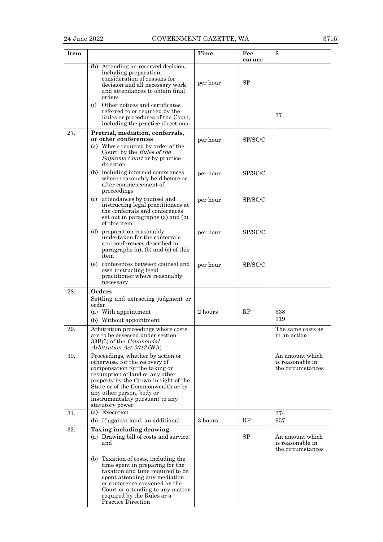| Item |                                                                                                                                                                                                                                                                                                                                 | <b>Time</b> | Fee<br>earner | \$                                                       |
|------|---------------------------------------------------------------------------------------------------------------------------------------------------------------------------------------------------------------------------------------------------------------------------------------------------------------------------------|-------------|---------------|----------------------------------------------------------|
|      | (h) Attending on reserved decision,<br>including preparation,<br>consideration of reasons for<br>decision and all necessary work<br>and attendances to obtain final<br>orders<br>(i) Other notices and certificates<br>referred to or required by the<br>Rules or procedures of the Court,<br>including the practice directions | per hour    | SP            | 77                                                       |
| 27.  | Pretrial, mediation, conferrals,<br>or other conferences<br>(a) Where required by order of the<br>Court, by the Rules of the<br><i>Supreme Court</i> or by practice<br>direction                                                                                                                                                | per hour    | SP/SC/C       |                                                          |
|      | (b) including informal conferences<br>where reasonably held before or<br>after commencement of<br>proceedings                                                                                                                                                                                                                   | per hour    | SP/SC/C       |                                                          |
|      | attendances by counsel and<br>(c)<br>instructing legal practitioners at<br>the conferrals and conferences<br>set out in paragraphs (a) and (b)<br>of this item                                                                                                                                                                  | per hour    | SP/SC/C       |                                                          |
|      | (d) preparation reasonably<br>undertaken for the conferrals<br>and conferences described in<br>paragraphs $(a)$ , $(b)$ and $(c)$ of this<br>item                                                                                                                                                                               | per hour    | SP/SC/C       |                                                          |
|      | (e) conferences between counsel and<br>own instructing legal<br>practitioner where reasonably<br>necessary                                                                                                                                                                                                                      | per hour    | SP/SC/C       |                                                          |
| 28.  | Orders<br>Settling and extracting judgment or<br>order                                                                                                                                                                                                                                                                          |             |               |                                                          |
|      | (a) With appointment<br>(b) Without appointment                                                                                                                                                                                                                                                                                 | 2 hours     | RP            | 638<br>319                                               |
| 29.  | Arbitration proceedings where costs<br>are to be assessed under section<br>33B(5) of the <i>Commercial</i><br>Arbitration Act 2012 (WA)                                                                                                                                                                                         |             |               | The same costs as<br>in an action                        |
| 30.  | Proceedings, whether by action or<br>otherwise, for the recovery of<br>compensation for the taking or<br>resumption of land or any other<br>property by the Crown in right of the<br>State or of the Commonwealth or by<br>any other person, body or<br>instrumentality pursuant to any<br>statutory power                      |             |               | An amount which<br>is reasonable in<br>the circumstances |
| 31.  | (a) Execution<br>(b) If against land, an additional                                                                                                                                                                                                                                                                             | 3 hours     | RP            | 374<br>957                                               |
| 32.  | Taxing including drawing<br>(a) Drawing bill of costs and service;<br>and                                                                                                                                                                                                                                                       |             | SP            | An amount which<br>is reasonable in<br>the circumstances |
|      | (b) Taxation of costs, including the<br>time spent in preparing for the<br>taxation and time required to be<br>spent attending any mediation<br>or conference convened by the<br>Court or attending to any matter<br>required by the Rules or a<br>Practice Direction                                                           |             |               |                                                          |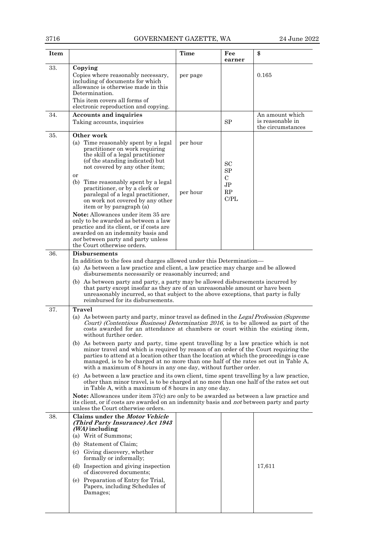| Item |                                                                                                                                                                                                                                                                                                                                                                                                                                             | Time     | Fee<br>earner           | \$                                                       |  |
|------|---------------------------------------------------------------------------------------------------------------------------------------------------------------------------------------------------------------------------------------------------------------------------------------------------------------------------------------------------------------------------------------------------------------------------------------------|----------|-------------------------|----------------------------------------------------------|--|
| 33.  | Copying<br>Copies where reasonably necessary,<br>including of documents for which<br>allowance is otherwise made in this<br>Determination.<br>This item covers all forms of                                                                                                                                                                                                                                                                 | per page |                         | 0.165                                                    |  |
| 34.  | electronic reproduction and copying.<br><b>Accounts and inquiries</b><br>Taking accounts, inquiries                                                                                                                                                                                                                                                                                                                                         |          | SP                      | An amount which<br>is reasonable in<br>the circumstances |  |
| 35.  | Other work<br>(a) Time reasonably spent by a legal<br>practitioner on work requiring<br>the skill of a legal practitioner<br>(of the standing indicated) but<br>not covered by any other item;<br>or                                                                                                                                                                                                                                        | per hour | SC<br>SP<br>$\mathbf C$ |                                                          |  |
|      | (b) Time reasonably spent by a legal<br>practitioner, or by a clerk or<br>paralegal of a legal practitioner,<br>on work not covered by any other<br>item or by paragraph (a)<br>Note: Allowances under item 35 are<br>only to be awarded as between a law<br>practice and its client, or if costs are<br>awarded on an indemnity basis and<br>not between party and party unless                                                            | per hour | $\rm{JP}$<br>RP<br>C/PL |                                                          |  |
| 36.  | the Court otherwise orders.<br><b>Disbursements</b><br>In addition to the fees and charges allowed under this Determination—                                                                                                                                                                                                                                                                                                                |          |                         |                                                          |  |
|      | (a) As between a law practice and client, a law practice may charge and be allowed<br>disbursements necessarily or reasonably incurred; and<br>(b) As between party and party, a party may be allowed disbursements incurred by<br>that party except insofar as they are of an unreasonable amount or have been<br>unreasonably incurred, so that subject to the above exceptions, that party is fully<br>reimbursed for its disbursements. |          |                         |                                                          |  |
| 37.  | <b>Travel</b><br>(a) As between party and party, minor travel as defined in the Legal Profession (Supreme<br>Court) (Contentious Business) Determination 2016, is to be allowed as part of the<br>costs awarded for an attendance at chambers or court within the existing item,<br>without further order.                                                                                                                                  |          |                         |                                                          |  |
|      | (b) As between party and party, time spent travelling by a law practice which is not<br>minor travel and which is required by reason of an order of the Court requiring the<br>parties to attend at a location other than the location at which the proceedings is case<br>managed, is to be charged at no more than one half of the rates set out in Table A,<br>with a maximum of 8 hours in any one day, without further order.          |          |                         |                                                          |  |
|      | (c) As between a law practice and its own client, time spent travelling by a law practice,<br>other than minor travel, is to be charged at no more than one half of the rates set out<br>in Table A, with a maximum of 8 hours in any one day.                                                                                                                                                                                              |          |                         |                                                          |  |
|      | <b>Note:</b> Allowances under item 37(c) are only to be awarded as between a law practice and<br>its client, or if costs are awarded on an indemnity basis and <i>not</i> between party and party<br>unless the Court otherwise orders.                                                                                                                                                                                                     |          |                         |                                                          |  |
| 38.  | Claims under the <i>Motor Vehicle</i><br>(Third Party Insurance) Act 1943<br>$(WA)$ including<br>(a) Writ of Summons;<br>(b) Statement of Claim;<br>(c) Giving discovery, whether<br>formally or informally;<br>(d) Inspection and giving inspection<br>of discovered documents;<br>(e) Preparation of Entry for Trial,<br>Papers, including Schedules of<br>Damages;                                                                       |          |                         | 17,611                                                   |  |
|      |                                                                                                                                                                                                                                                                                                                                                                                                                                             |          |                         |                                                          |  |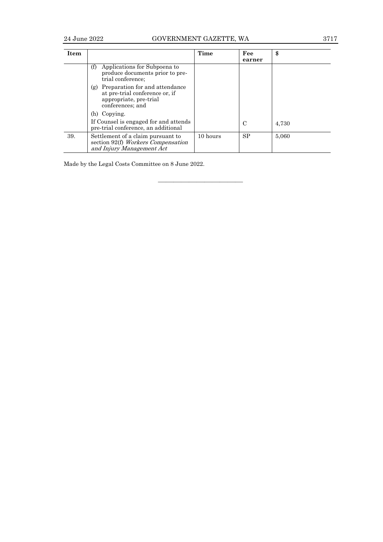# 24 June 2022 GOVERNMENT GAZETTE, WA 3717

| <b>Item</b> |                                                                                                                    | Time     | Fee<br>earner | \$    |
|-------------|--------------------------------------------------------------------------------------------------------------------|----------|---------------|-------|
|             | Applications for Subpoena to<br>(f)<br>produce documents prior to pre-<br>trial conference;                        |          |               |       |
|             | (g) Preparation for and attendance<br>at pre-trial conference or, if<br>appropriate, pre-trial<br>conferences; and |          |               |       |
|             | (h) Copying.                                                                                                       |          |               |       |
|             | If Counsel is engaged for and attends<br>pre-trial conference, an additional                                       |          | C             | 4.730 |
| 39.         | Settlement of a claim pursuant to<br>section 92(f) Workers Compensation<br>and Injury Management Act               | 10 hours | <b>SP</b>     | 5,060 |

————————————————————

Made by the Legal Costs Committee on 8 June 2022.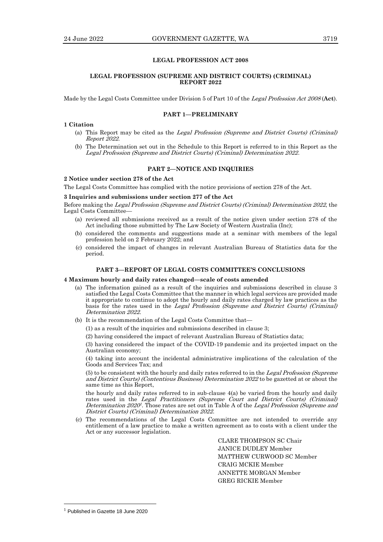# **LEGAL PROFESSION ACT 2008**

# **LEGAL PROFESSION (SUPREME AND DISTRICT COURTS) (CRIMINAL) REPORT 2022**

Made by the Legal Costs Committee under Division 5 of Part 10 of the Legal Profession Act <sup>2008</sup> (**Act**).

#### **PART 1—PRELIMINARY**

# **1 Citation**

- (a) This Report may be cited as the Legal Profession (Supreme and District Courts) (Criminal) Report 2022.
- (b) The Determination set out in the Schedule to this Report is referred to in this Report as the Legal Profession (Supreme and District Courts) (Criminal) Determination 2022.

#### **PART 2—NOTICE AND INQUIRIES**

# **2 Notice under section 278 of the Act**

The Legal Costs Committee has complied with the notice provisions of section 278 of the Act.

# **3 Inquiries and submissions under section 277 of the Act**

Before making the Legal Profession (Supreme and District Courts) (Criminal) Determination 2022, the Legal Costs Committee—

- (a) reviewed all submissions received as a result of the notice given under section 278 of the Act including those submitted by The Law Society of Western Australia (Inc);
- (b) considered the comments and suggestions made at a seminar with members of the legal profession held on 2 February 2022; and
- (c) considered the impact of changes in relevant Australian Bureau of Statistics data for the period.

#### **PART 3—REPORT OF LEGAL COSTS COMMITTEE'S CONCLUSIONS**

#### **4 Maximum hourly and daily rates changed—scale of costs amended**

- (a) The information gained as a result of the inquiries and submissions described in clause 3 satisfied the Legal Costs Committee that the manner in which legal services are provided made it appropriate to continue to adopt the hourly and daily rates charged by law practices as the basis for the rates used in the Legal Profession (Supreme and District Courts) (Criminal) Determination 2022.
- (b) It is the recommendation of the Legal Costs Committee that—
	- (1) as a result of the inquiries and submissions described in clause 3;

(2) having considered the impact of relevant Australian Bureau of Statistics data;

(3) having considered the impact of the COVID-19 pandemic and its projected impact on the Australian economy;

(4) taking into account the incidental administrative implications of the calculation of the Goods and Services Tax; and

(5) to be consistent with the hourly and daily rates referred to in the Legal Profession (Supreme and District Courts) (Contentious Business) Determination 2022 to be gazetted at or about the same time as this Report,

the hourly and daily rates referred to in sub-clause 4(a) be varied from the hourly and daily rates used in the Legal Practitioners (Supreme Court and District Courts) (Criminal) Determination 2020<sup>1</sup>. Those rates are set out in Table A of the Legal Profession (Supreme and District Courts) (Criminal) Determination 2022.

(c) The recommendations of the Legal Costs Committee are not intended to override any entitlement of a law practice to make a written agreement as to costs with a client under the Act or any successor legislation.

> CLARE THOMPSON SC Chair JANICE DUDLEY Member MATTHEW CURWOOD SC Member CRAIG MCKIE Member ANNETTE MORGAN Member GREG RICKIE Member

<sup>1</sup> Published in Gazette 18 June 2020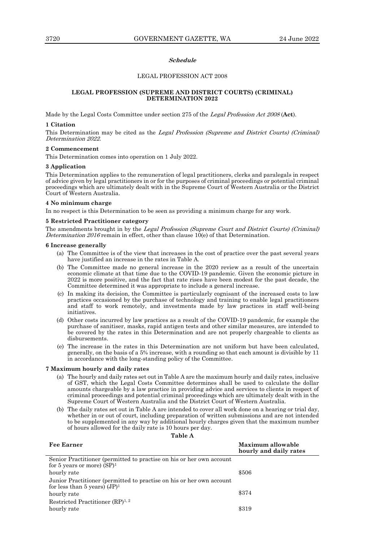#### **Schedule**

# LEGAL PROFESSION ACT 2008

## **LEGAL PROFESSION (SUPREME AND DISTRICT COURTS) (CRIMINAL) DETERMINATION 2022**

Made by the Legal Costs Committee under section 275 of the Legal Profession Act <sup>2008</sup> (**Act**).

### **1 Citation**

This Determination may be cited as the Legal Profession (Supreme and District Courts) (Criminal) Determination 2022.

#### **2 Commencement**

This Determination comes into operation on 1 July 2022.

#### **3 Application**

This Determination applies to the remuneration of legal practitioners, clerks and paralegals in respect of advice given by legal practitioners in or for the purposes of criminal proceedings or potential criminal proceedings which are ultimately dealt with in the Supreme Court of Western Australia or the District Court of Western Australia.

# **4 No minimum charge**

In no respect is this Determination to be seen as providing a minimum charge for any work.

#### **5 Restricted Practitioner category**

The amendments brought in by the Legal Profession (Supreme Court and District Courts) (Criminal) Determination 2016 remain in effect, other than clause  $10(e)$  of that Determination.

#### **6 Increase generally**

- (a) The Committee is of the view that increases in the cost of practice over the past several years have justified an increase in the rates in Table A.
- (b) The Committee made no general increase in the 2020 review as a result of the uncertain economic climate at that time due to the COVID-19 pandemic. Given the economic picture in 2022 is more positive, and the fact that rate rises have been modest for the past decade, the Committee determined it was appropriate to include a general increase.
- (c) In making its decision, the Committee is particularly cognisant of the increased costs to law practices occasioned by the purchase of technology and training to enable legal practitioners and staff to work remotely, and investments made by law practices in staff well-being initiatives.
- (d) Other costs incurred by law practices as a result of the COVID-19 pandemic, for example the purchase of sanitiser, masks, rapid antigen tests and other similar measures, are intended to be covered by the rates in this Determination and are not properly chargeable to clients as disbursements.
- (e) The increase in the rates in this Determination are not uniform but have been calculated, generally, on the basis of a 5% increase, with a rounding so that each amount is divisible by 11 in accordance with the long-standing policy of the Committee.

#### **7 Maximum hourly and daily rates**

- (a) The hourly and daily rates set out in Table A are the maximum hourly and daily rates, inclusive of GST, which the Legal Costs Committee determines shall be used to calculate the dollar amounts chargeable by a law practice in providing advice and services to clients in respect of criminal proceedings and potential criminal proceedings which are ultimately dealt with in the Supreme Court of Western Australia and the District Court of Western Australia.
- (b) The daily rates set out in Table A are intended to cover all work done on a hearing or trial day, whether in or out of court, including preparation of written submissions and are not intended to be supplemented in any way by additional hourly charges given that the maximum number of hours allowed for the daily rate is 10 hours per day.

| INI<br>n |
|----------|
|----------|

**Fee Earner Maximum allowable** 

|                                                                                                         | hourly and daily rates |
|---------------------------------------------------------------------------------------------------------|------------------------|
| Senior Practitioner (permitted to practise on his or her own account<br>for 5 years or more) $(SP)^1$   |                        |
| hourly rate                                                                                             | \$506                  |
| Junior Practitioner (permitted to practise on his or her own account<br>for less than 5 years) $(JP)^1$ |                        |
| hourly rate                                                                                             | \$374                  |
| Restricted Practitioner $(RP)^{1,2}$                                                                    |                        |
| hourly rate                                                                                             | \$319                  |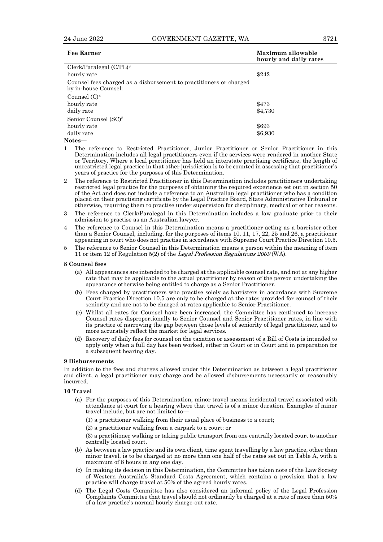| Fee Earner                                                                                 | Maximum allowable<br>hourly and daily rates |
|--------------------------------------------------------------------------------------------|---------------------------------------------|
| Clerk/Paralegal (C/PL) <sup>3</sup>                                                        |                                             |
| hourly rate                                                                                | \$242                                       |
| Counsel fees charged as a disbursement to practitioners or charged<br>by in-house Counsel: |                                             |
| Counsel $(C)^4$                                                                            |                                             |
| hourly rate                                                                                | \$473                                       |
| daily rate                                                                                 | \$4,730                                     |
| Senior Counsel (SC) <sup>5</sup>                                                           |                                             |
| hourly rate                                                                                | \$693                                       |
| daily rate                                                                                 | \$6,930                                     |

#### **Notes—**

1 The reference to Restricted Practitioner, Junior Practitioner or Senior Practitioner in this Determination includes all legal practitioners even if the services were rendered in another State or Territory. Where a local practitioner has held an interstate practising certificate, the length of unrestricted legal practice in that other jurisdiction is to be counted in assessing that practitioner's years of practice for the purposes of this Determination.

2 The reference to Restricted Practitioner in this Determination includes practitioners undertaking restricted legal practice for the purposes of obtaining the required experience set out in section 50 of the Act and does not include a reference to an Australian legal practitioner who has a condition placed on their practising certificate by the Legal Practice Board, State Administrative Tribunal or otherwise, requiring them to practise under supervision for disciplinary, medical or other reasons.

- 3 The reference to Clerk/Paralegal in this Determination includes a law graduate prior to their admission to practise as an Australian lawyer.
- 4 The reference to Counsel in this Determination means a practitioner acting as a barrister other than a Senior Counsel, including, for the purposes of items 10, 11, 17, 22, 25 and 26, a practitioner appearing in court who does not practise in accordance with Supreme Court Practice Direction 10.5.
- 5 The reference to Senior Counsel in this Determination means a person within the meaning of item 11 or item 12 of Regulation 5(2) of the Legal Profession Regulations <sup>2009</sup>(WA).

#### **8 Counsel fees**

- (a) All appearances are intended to be charged at the applicable counsel rate, and not at any higher rate that may be applicable to the actual practitioner by reason of the person undertaking the appearance otherwise being entitled to charge as a Senior Practitioner.
- (b) Fees charged by practitioners who practise solely as barristers in accordance with Supreme Court Practice Direction 10.5 are only to be charged at the rates provided for counsel of their seniority and are not to be charged at rates applicable to Senior Practitioner.
- (c) Whilst all rates for Counsel have been increased, the Committee has continued to increase Counsel rates disproportionally to Senior Counsel and Senior Practitioner rates, in line with its practice of narrowing the gap between those levels of seniority of legal practitioner, and to more accurately reflect the market for legal services.
- (d) Recovery of daily fees for counsel on the taxation or assessment of a Bill of Costs is intended to apply only when a full day has been worked, either in Court or in Court and in preparation for a subsequent hearing day.

#### **9 Disbursements**

In addition to the fees and charges allowed under this Determination as between a legal practitioner and client, a legal practitioner may charge and be allowed disbursements necessarily or reasonably incurred.

#### **10 Travel**

(a) For the purposes of this Determination, minor travel means incidental travel associated with attendance at court for a hearing where that travel is of a minor duration. Examples of minor travel include, but are not limited to—

(1) a practitioner walking from their usual place of business to a court;

(2) a practitioner walking from a carpark to a court; or

(3) a practitioner walking or taking public transport from one centrally located court to another centrally located court.

- (b) As between a law practice and its own client, time spent travelling by a law practice, other than minor travel, is to be charged at no more than one half of the rates set out in Table A, with a maximum of 8 hours in any one day.
- (c) In making its decision in this Determination, the Committee has taken note of the Law Society of Western Australia's Standard Costs Agreement, which contains a provision that a law practice will charge travel at 50% of the agreed hourly rates.
- (d) The Legal Costs Committee has also considered an informal policy of the Legal Profession Complaints Committee that travel should not ordinarily be charged at a rate of more than 50% of a law practice's normal hourly charge-out rate.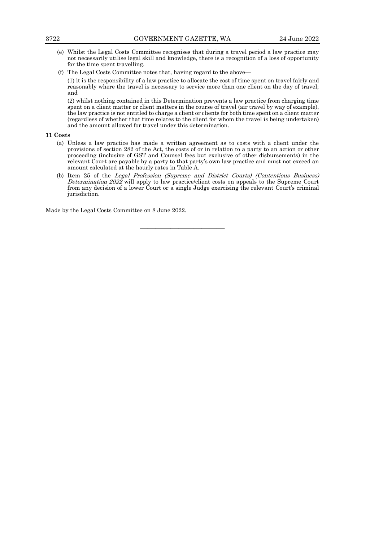- (e) Whilst the Legal Costs Committee recognises that during a travel period a law practice may not necessarily utilise legal skill and knowledge, there is a recognition of a loss of opportunity for the time spent travelling.
- (f) The Legal Costs Committee notes that, having regard to the above—

(1) it is the responsibility of a law practice to allocate the cost of time spent on travel fairly and reasonably where the travel is necessary to service more than one client on the day of travel; and

(2) whilst nothing contained in this Determination prevents a law practice from charging time spent on a client matter or client matters in the course of travel (air travel by way of example), the law practice is not entitled to charge a client or clients for both time spent on a client matter (regardless of whether that time relates to the client for whom the travel is being undertaken) and the amount allowed for travel under this determination.

#### **11 Costs**

- (a) Unless a law practice has made a written agreement as to costs with a client under the provisions of section 282 of the Act, the costs of or in relation to a party to an action or other proceeding (inclusive of GST and Counsel fees but exclusive of other disbursements) in the relevant Court are payable by a party to that party's own law practice and must not exceed an amount calculated at the hourly rates in Table A.
- (b) Item 25 of the Legal Profession (Supreme and District Courts) (Contentious Business) Determination  $202\overline{2}$  will apply to law practice/client costs on appeals to the Supreme Court from any decision of a lower Court or a single Judge exercising the relevant Court's criminal jurisdiction.

———————————

Made by the Legal Costs Committee on 8 June 2022.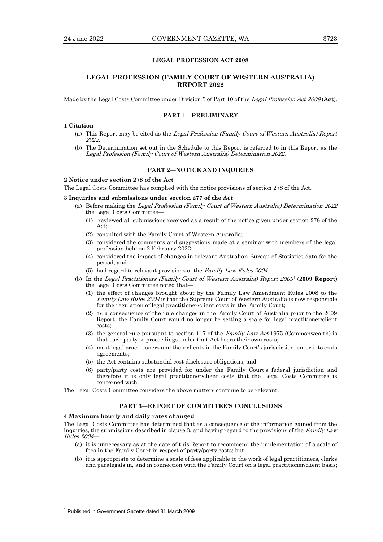# **LEGAL PROFESSION ACT 2008**

# **LEGAL PROFESSION (FAMILY COURT OF WESTERN AUSTRALIA) REPORT 2022**

Made by the Legal Costs Committee under Division 5 of Part 10 of the Legal Profession Act <sup>2008</sup> (**Act**).

# **PART 1—PRELIMINARY**

# **1 Citation**

- (a) This Report may be cited as the Legal Profession (Family Court of Western Australia) Report 2022.
- (b) The Determination set out in the Schedule to this Report is referred to in this Report as the Legal Profession (Family Court of Western Australia) Determination 2022.

# **PART 2—NOTICE AND INQUIRIES**

# **2 Notice under section 278 of the Act**

The Legal Costs Committee has complied with the notice provisions of section 278 of the Act.

#### **3 Inquiries and submissions under section 277 of the Act**

- (a) Before making the Legal Profession (Family Court of Western Australia) Determination 2022 the Legal Costs Committee—
	- (1) reviewed all submissions received as a result of the notice given under section 278 of the Act;
	- (2) consulted with the Family Court of Western Australia;
	- (3) considered the comments and suggestions made at a seminar with members of the legal profession held on 2 February 2022;
	- (4) considered the impact of changes in relevant Australian Bureau of Statistics data for the period; and
	- (5) had regard to relevant provisions of the Family Law Rules 2004.
- (b) In the Legal Practitioners (Family Court of Western Australia) Report 2009 1 (**2009 Report**) the Legal Costs Committee noted that—
	- (1) the effect of changes brought about by the Family Law Amendment Rules 2008 to the Family Law Rules 2004 is that the Supreme Court of Western Australia is now responsible for the regulation of legal practitioner/client costs in the Family Court;
	- (2) as a consequence of the rule changes in the Family Court of Australia prior to the 2009 Report, the Family Court would no longer be setting a scale for legal practitioner/client costs;
	- (3) the general rule pursuant to section 117 of the Family Law Act 1975 (Commonwealth) is that each party to proceedings under that Act bears their own costs;
	- (4) most legal practitioners and their clients in the Family Court's jurisdiction, enter into costs agreements;
	- (5) the Act contains substantial cost disclosure obligations; and
	- (6) party/party costs are provided for under the Family Court's federal jurisdiction and therefore it is only legal practitioner/client costs that the Legal Costs Committee is concerned with.

The Legal Costs Committee considers the above matters continue to be relevant.

## **PART 3—REPORT OF COMMITTEE'S CONCLUSIONS**

#### **4 Maximum hourly and daily rates changed**

The Legal Costs Committee has determined that as a consequence of the information gained from the inquiries, the submissions described in clause 3, and having regard to the provisions of the Family Law Rules 2004—

- (a) it is unnecessary as at the date of this Report to recommend the implementation of a scale of fees in the Family Court in respect of party/party costs; but
- (b) it is appropriate to determine a scale of fees applicable to the work of legal practitioners, clerks and paralegals in, and in connection with the Family Court on a legal practitioner/client basis;

<sup>&</sup>lt;sup>1</sup> Published in Government Gazette dated 31 March 2009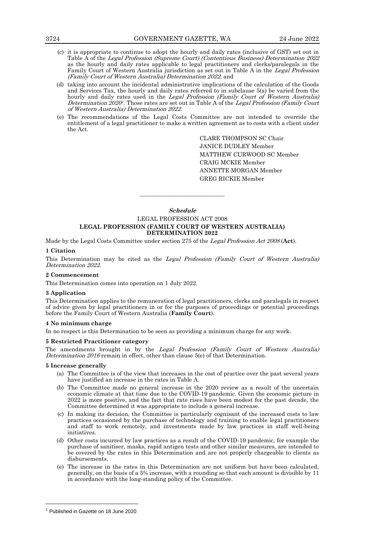- (c) it is appropriate to continue to adopt the hourly and daily rates (inclusive of GST) set out in Table A of the Legal Profession (Supreme Court) (Contentious Business) Determination 2022 as the hourly and daily rates applicable to legal practitioners and clerks/paralegals in the Family Court of Western Australia jurisdiction as set out in Table A in the Legal Profession (Family Court of Western Australia) Determination 2022; and
- (d) taking into account the incidental administrative implications of the calculation of the Goods and Services Tax, the hourly and daily rates referred to in subclause 5(a) be varied from the hourly and daily rates used in the Legal Profession (Family Court of Western Australia) Determination 2020<sup>1</sup>. Those rates are set out in Table A of the *Legal Profession (Family Court* of Western Australia) Determination 2022.
- (e) The recommendations of the Legal Costs Committee are not intended to override the entitlement of a legal practitioner to make a written agreement as to costs with a client under the Act.

CLARE THOMPSON SC Chair JANICE DUDLEY Member MATTHEW CURWOOD SC Member CRAIG MCKIE Member ANNETTE MORGAN Member GREG RICKIE Member

# **Schedule** LEGAL PROFESSION ACT 2008 **LEGAL PROFESSION (FAMILY COURT OF WESTERN AUSTRALIA) DETERMINATION 2022**

———————————

Made by the Legal Costs Committee under section 275 of the Legal Profession Act <sup>2008</sup>(**Act**).

### **1 Citation**

This Determination may be cited as the Legal Profession (Family Court of Western Australia) Determination 2022.

#### **2 Commencement**

This Determination comes into operation on 1 July 2022.

#### **3 Application**

This Determination applies to the remuneration of legal practitioners, clerks and paralegals in respect of advice given by legal practitioners in or for the purposes of proceedings or potential proceedings before the Family Court of Western Australia (**Family Court**).

#### **4 No minimum charge**

In no respect is this Determination to be seen as providing a minimum charge for any work.

#### **5 Restricted Practitioner category**

The amendments brought in by the Legal Profession (Family Court of Western Australia) Determination 2016 remain in effect, other than clause 5(e) of that Determination.

#### **5 Increase generally**

- (a) The Committee is of the view that increases in the cost of practice over the past several years have justified an increase in the rates in Table A.
- (b) The Committee made no general increase in the 2020 review as a result of the uncertain economic climate at that time due to the COVID-19 pandemic. Given the economic picture in 2022 is more positive, and the fact that rate rises have been modest for the past decade, the Committee determined it was appropriate to include a general increase.
- (c) In making its decision, the Committee is particularly cognisant of the increased costs to law practices occasioned by the purchase of technology and training to enable legal practitioners and staff to work remotely, and investments made by law practices in staff well-being initiatives.
- (d) Other costs incurred by law practices as a result of the COVID-19 pandemic, for example the purchase of sanitiser, masks, rapid antigen tests and other similar measures, are intended to be covered by the rates in this Determination and are not properly chargeable to clients as disbursements.
- (e) The increase in the rates in this Determination are not uniform but have been calculated, generally, on the basis of a 5% increase, with a rounding so that each amount is divisible by 11 in accordance with the long-standing policy of the Committee.

<sup>&</sup>lt;sup>1</sup> Published in Gazette on 18 June 2020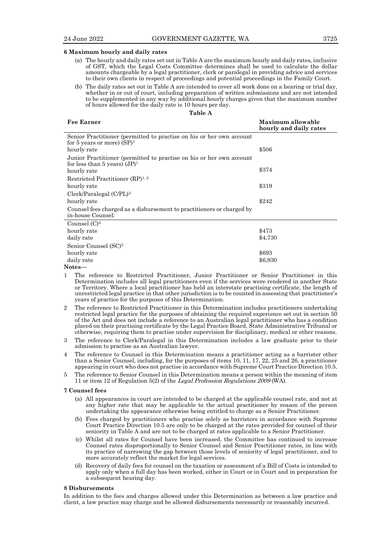#### **6 Maximum hourly and daily rates**

- (a) The hourly and daily rates set out in Table A are the maximum hourly and daily rates, inclusive of GST, which the Legal Costs Committee determines shall be used to calculate the dollar amounts chargeable by a legal practitioner, clerk or paralegal in providing advice and services to their own clients in respect of proceedings and potential proceedings in the Family Court.
- (b) The daily rates set out in Table A are intended to cover all work done on a hearing or trial day, whether in or out of court, including preparation of written submissions and are not intended to be supplemented in any way by additional hourly charges given that the maximum number of hours allowed for the daily rate is 10 hours per day.

| <b>Fee Earner</b>                                                                                       | Maximum allowable<br>hourly and daily rates |
|---------------------------------------------------------------------------------------------------------|---------------------------------------------|
| Senior Practitioner (permitted to practise on his or her own account<br>for 5 years or more) $(SP)^1$   |                                             |
| hourly rate                                                                                             | \$506                                       |
| Junior Practitioner (permitted to practise on his or her own account<br>for less than 5 years) $(JP)^1$ |                                             |
| hourly rate                                                                                             | \$374                                       |
| Restricted Practitioner $(RP)^{1,2}$                                                                    |                                             |
| hourly rate                                                                                             | \$319                                       |
| Clerk/Paralegal (C/PL) <sup>3</sup>                                                                     |                                             |
| hourly rate                                                                                             | \$242                                       |
| Counsel fees charged as a disbursement to practitioners or charged by<br>in-house Counsel:              |                                             |
| Counsel $(C)^4$                                                                                         |                                             |
| hourly rate                                                                                             | \$473                                       |
| daily rate                                                                                              | \$4,730                                     |
| Senior Counsel (SC) <sup>5</sup>                                                                        |                                             |
| hourly rate                                                                                             | \$693                                       |
| daily rate                                                                                              | \$6,930                                     |
| Notes—                                                                                                  |                                             |

- 1 The reference to Restricted Practitioner, Junior Practitioner or Senior Practitioner in this Determination includes all legal practitioners even if the services were rendered in another State or Territory. Where a local practitioner has held an interstate practising certificate, the length of unrestricted legal practice in that other jurisdiction is to be counted in assessing that practitioner's years of practice for the purposes of this Determination.
- 2 The reference to Restricted Practitioner in this Determination includes practitioners undertaking restricted legal practice for the purposes of obtaining the required experience set out in section 50 of the Act and does not include a reference to an Australian legal practitioner who has a condition placed on their practising certificate by the Legal Practice Board, State Administrative Tribunal or otherwise, requiring them to practise under supervision for disciplinary, medical or other reasons.
- 3 The reference to Clerk/Paralegal in this Determination includes a law graduate prior to their admission to practise as an Australian lawyer.
- 4 The reference to Counsel in this Determination means a practitioner acting as a barrister other than a Senior Counsel, including, for the purposes of items 10, 11, 17, 22, 25 and 26, a practitioner appearing in court who does not practise in accordance with Supreme Court Practice Direction 10.5.
- 5 The reference to Senior Counsel in this Determination means a person within the meaning of item 11 or item 12 of Regulation 5(2) of the Legal Profession Regulations <sup>2009</sup>(WA).

#### **7 Counsel fees**

- (a) All appearances in court are intended to be charged at the applicable counsel rate, and not at any higher rate that may be applicable to the actual practitioner by reason of the person undertaking the appearance otherwise being entitled to charge as a Senior Practitioner.
- (b) Fees charged by practitioners who practise solely as barristers in accordance with Supreme Court Practice Direction 10.5 are only to be charged at the rates provided for counsel of their seniority in Table A and are not to be charged at rates applicable to a Senior Practitioner.
- (c) Whilst all rates for Counsel have been increased, the Committee has continued to increase Counsel rates disproportionally to Senior Counsel and Senior Practitioner rates, in line with its practice of narrowing the gap between those levels of seniority of legal practitioner, and to more accurately reflect the market for legal services.
- (d) Recovery of daily fees for counsel on the taxation or assessment of a Bill of Costs is intended to apply only when a full day has been worked, either in Court or in Court and in preparation for a subsequent hearing day.

### **8 Disbursements**

In addition to the fees and charges allowed under this Determination as between a law practice and client, a law practice may charge and be allowed disbursements necessarily or reasonably incurred.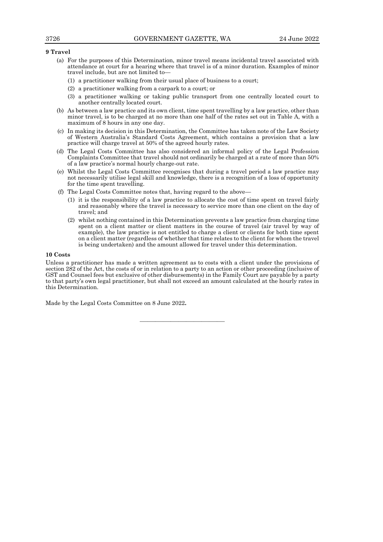# **9 Travel**

- (a) For the purposes of this Determination, minor travel means incidental travel associated with attendance at court for a hearing where that travel is of a minor duration. Examples of minor travel include, but are not limited to—
	- (1) a practitioner walking from their usual place of business to a court;
	- (2) a practitioner walking from a carpark to a court; or
	- (3) a practitioner walking or taking public transport from one centrally located court to another centrally located court.
- (b) As between a law practice and its own client, time spent travelling by a law practice, other than minor travel, is to be charged at no more than one half of the rates set out in Table A, with a maximum of 8 hours in any one day.
- (c) In making its decision in this Determination, the Committee has taken note of the Law Society of Western Australia's Standard Costs Agreement, which contains a provision that a law practice will charge travel at 50% of the agreed hourly rates.
- (d) The Legal Costs Committee has also considered an informal policy of the Legal Profession Complaints Committee that travel should not ordinarily be charged at a rate of more than 50% of a law practice's normal hourly charge-out rate.
- (e) Whilst the Legal Costs Committee recognises that during a travel period a law practice may not necessarily utilise legal skill and knowledge, there is a recognition of a loss of opportunity for the time spent travelling.
- (f) The Legal Costs Committee notes that, having regard to the above—
	- (1) it is the responsibility of a law practice to allocate the cost of time spent on travel fairly and reasonably where the travel is necessary to service more than one client on the day of travel; and
	- (2) whilst nothing contained in this Determination prevents a law practice from charging time spent on a client matter or client matters in the course of travel (air travel by way of example), the law practice is not entitled to charge a client or clients for both time spent on a client matter (regardless of whether that time relates to the client for whom the travel is being undertaken) and the amount allowed for travel under this determination.

#### **10 Costs**

Unless a practitioner has made a written agreement as to costs with a client under the provisions of section 282 of the Act, the costs of or in relation to a party to an action or other proceeding (inclusive of GST and Counsel fees but exclusive of other disbursements) in the Family Court are payable by a party to that party's own legal practitioner, but shall not exceed an amount calculated at the hourly rates in this Determination.

———————————

Made by the Legal Costs Committee on 8 June 2022**.**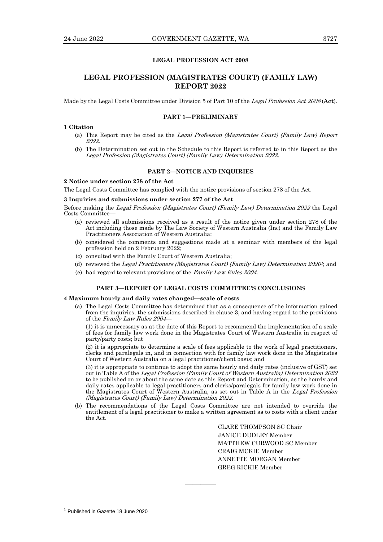# **LEGAL PROFESSION ACT 2008**

# **LEGAL PROFESSION (MAGISTRATES COURT) (FAMILY LAW) REPORT 2022**

Made by the Legal Costs Committee under Division 5 of Part 10 of the Legal Profession Act <sup>2008</sup> (**Act**).

#### **PART 1—PRELIMINARY**

#### **1 Citation**

- (a) This Report may be cited as the Legal Profession (Magistrates Court) (Family Law) Report 2022.
- (b) The Determination set out in the Schedule to this Report is referred to in this Report as the Legal Profession (Magistrates Court) (Family Law) Determination 2022.

# **PART 2—NOTICE AND INQUIRIES**

# **2 Notice under section 278 of the Act**

The Legal Costs Committee has complied with the notice provisions of section 278 of the Act.

#### **3 Inquiries and submissions under section 277 of the Act**

Before making the Legal Profession (Magistrates Court) (Family Law) Determination 2022 the Legal Costs Committee—

- (a) reviewed all submissions received as a result of the notice given under section 278 of the Act including those made by The Law Society of Western Australia (Inc) and the Family Law Practitioners Association of Western Australia;
- (b) considered the comments and suggestions made at a seminar with members of the legal profession held on 2 February 2022;
- (c) consulted with the Family Court of Western Australia;
- (d) reviewed the Legal Practitioners (Magistrates Court) (Family Law) Determination 2020<sup>1</sup>; and
- (e) had regard to relevant provisions of the Family Law Rules 2004.

#### **PART 3—REPORT OF LEGAL COSTS COMMITTEE'S CONCLUSIONS**

# **4 Maximum hourly and daily rates changed—scale of costs**

(a) The Legal Costs Committee has determined that as a consequence of the information gained from the inquiries, the submissions described in clause 3, and having regard to the provisions of the Family Law Rules 2004—

(1) it is unnecessary as at the date of this Report to recommend the implementation of a scale of fees for family law work done in the Magistrates Court of Western Australia in respect of party/party costs; but

(2) it is appropriate to determine a scale of fees applicable to the work of legal practitioners, clerks and paralegals in, and in connection with for family law work done in the Magistrates Court of Western Australia on a legal practitioner/client basis; and

(3) it is appropriate to continue to adopt the same hourly and daily rates (inclusive of GST) set out in Table A of the Legal Profession (Family Court of Western Australia) Determination 2022 to be published on or about the same date as this Report and Determination, as the hourly and daily rates applicable to legal practitioners and clerks/paralegals for family law work done in the Magistrates Court of Western Australia, as set out in Table A in the Legal Profession (Magistrates Court) (Family Law) Determination 2022.

(b) The recommendations of the Legal Costs Committee are not intended to override the entitlement of a legal practitioner to make a written agreement as to costs with a client under the Act.

————

CLARE THOMPSON SC Chair JANICE DUDLEY Member MATTHEW CURWOOD SC Member CRAIG MCKIE Member ANNETTE MORGAN Member GREG RICKIE Member

<sup>&</sup>lt;sup>1</sup> Published in Gazette 18 June 2020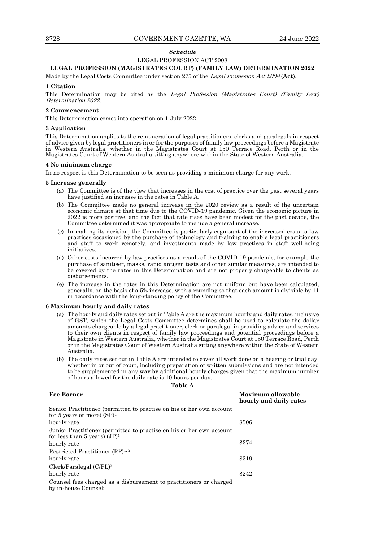# **Schedule**

# LEGAL PROFESSION ACT 2008

#### **LEGAL PROFESSION (MAGISTRATES COURT) (FAMILY LAW) DETERMINATION 2022**

Made by the Legal Costs Committee under section 275 of the Legal Profession Act <sup>2008</sup> (**Act**).

#### **1 Citation**

This Determination may be cited as the Legal Profession (Magistrates Court) (Family Law) Determination 2022.

# **2 Commencement**

This Determination comes into operation on 1 July 2022.

#### **3 Application**

This Determination applies to the remuneration of legal practitioners, clerks and paralegals in respect of advice given by legal practitioners in or for the purposes of family law proceedings before a Magistrate in Western Australia, whether in the Magistrates Court at 150 Terrace Road, Perth or in the Magistrates Court of Western Australia sitting anywhere within the State of Western Australia.

#### **4 No minimum charge**

In no respect is this Determination to be seen as providing a minimum charge for any work.

#### **5 Increase generally**

- (a) The Committee is of the view that increases in the cost of practice over the past several years have justified an increase in the rates in Table A.
- (b) The Committee made no general increase in the 2020 review as a result of the uncertain economic climate at that time due to the COVID-19 pandemic. Given the economic picture in 2022 is more positive, and the fact that rate rises have been modest for the past decade, the Committee determined it was appropriate to include a general increase.
- (c) In making its decision, the Committee is particularly cognisant of the increased costs to law practices occasioned by the purchase of technology and training to enable legal practitioners and staff to work remotely, and investments made by law practices in staff well-being initiatives.
- (d) Other costs incurred by law practices as a result of the COVID-19 pandemic, for example the purchase of sanitiser, masks, rapid antigen tests and other similar measures, are intended to be covered by the rates in this Determination and are not properly chargeable to clients as disbursements.
- (e) The increase in the rates in this Determination are not uniform but have been calculated, generally, on the basis of a 5% increase, with a rounding so that each amount is divisible by 11 in accordance with the long-standing policy of the Committee.

#### **6 Maximum hourly and daily rates**

- (a) The hourly and daily rates set out in Table A are the maximum hourly and daily rates, inclusive of GST, which the Legal Costs Committee determines shall be used to calculate the dollar amounts chargeable by a legal practitioner, clerk or paralegal in providing advice and services to their own clients in respect of family law proceedings and potential proceedings before a Magistrate in Western Australia, whether in the Magistrates Court at 150 Terrace Road, Perth or in the Magistrates Court of Western Australia sitting anywhere within the State of Western Australia.
- (b) The daily rates set out in Table A are intended to cover all work done on a hearing or trial day, whether in or out of court, including preparation of written submissions and are not intended to be supplemented in any way by additional hourly charges given that the maximum number of hours allowed for the daily rate is 10 hours per day.

| rable |  |
|-------|--|
|-------|--|

| <b>Fee Earner</b>                                                                                     | Maximum allowable<br>hourly and daily rates |
|-------------------------------------------------------------------------------------------------------|---------------------------------------------|
| Senior Practitioner (permitted to practise on his or her own account<br>for 5 years or more) $(SP)^1$ |                                             |
| hourly rate                                                                                           | \$506                                       |
| Junior Practitioner (permitted to practise on his or her own account                                  |                                             |
| for less than 5 years) $(JP)^1$<br>hourly rate                                                        | \$374                                       |
| Restricted Practitioner $(RP)^{1,2}$                                                                  |                                             |
| hourly rate                                                                                           | \$319                                       |
| $Clerk/Paralegal (C/PL)^3$                                                                            |                                             |
| hourly rate                                                                                           | \$242                                       |
| Counsel fees charged as a disbursement to practitioners or charged<br>by in-house Counsel:            |                                             |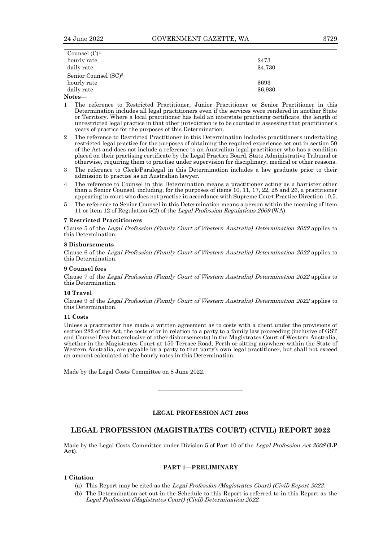| Counsel $(C)^4$                  |         |
|----------------------------------|---------|
| hourly rate                      | \$473   |
| daily rate                       | \$4,730 |
| Senior Counsel (SC) <sup>5</sup> |         |
| hourly rate                      | \$693   |
| daily rate                       | \$6,930 |
|                                  |         |

- **Notes—**
- 1 The reference to Restricted Practitioner, Junior Practitioner or Senior Practitioner in this Determination includes all legal practitioners even if the services were rendered in another State or Territory. Where a local practitioner has held an interstate practising certificate, the length of unrestricted legal practice in that other jurisdiction is to be counted in assessing that practitioner's years of practice for the purposes of this Determination.
- 2 The reference to Restricted Practitioner in this Determination includes practitioners undertaking restricted legal practice for the purposes of obtaining the required experience set out in section 50 of the Act and does not include a reference to an Australian legal practitioner who has a condition placed on their practising certificate by the Legal Practice Board, State Administrative Tribunal or otherwise, requiring them to practise under supervision for disciplinary, medical or other reasons.
- 3 The reference to Clerk/Paralegal in this Determination includes a law graduate prior to their admission to practise as an Australian lawyer.
- 4 The reference to Counsel in this Determination means a practitioner acting as a barrister other than a Senior Counsel, including, for the purposes of items 10, 11, 17, 22, 25 and 26, a practitioner appearing in court who does not practise in accordance with Supreme Court Practice Direction 10.5.
- 5 The reference to Senior Counsel in this Determination means a person within the meaning of item 11 or item 12 of Regulation 5(2) of the Legal Profession Regulations <sup>2009</sup>(WA).

#### **7 Restricted Practitioners**

Clause 5 of the Legal Profession (Family Court of Western Australia) Determination <sup>2022</sup> applies to this Determination.

#### **8 Disbursements**

Clause 6 of the Legal Profession (Family Court of Western Australia) Determination <sup>2022</sup> applies to this Determination.

#### **9 Counsel fees**

Clause 7 of the Legal Profession (Family Court of Western Australia) Determination <sup>2022</sup> applies to this Determination.

#### **10 Travel**

Clause 9 of the Legal Profession (Family Court of Western Australia) Determination <sup>2022</sup> applies to this Determination.

#### **11 Costs**

Unless a practitioner has made a written agreement as to costs with a client under the provisions of section 282 of the Act, the costs of or in relation to a party to a family law proceeding (inclusive of GST and Counsel fees but exclusive of other disbursements) in the Magistrates Court of Western Australia, whether in the Magistrates Court at 150 Terrace Road, Perth or sitting anywhere within the State of Western Australia, are payable by a party to that party's own legal practitioner, but shall not exceed an amount calculated at the hourly rates in this Determination.

Made by the Legal Costs Committee on 8 June 2022.

# **LEGAL PROFESSION ACT 2008**

————————————————————

# **LEGAL PROFESSION (MAGISTRATES COURT) (CIVIL) REPORT 2022**

Made by the Legal Costs Committee under Division 5 of Part 10 of the Legal Profession Act <sup>2008</sup> (**LP Act**).

#### **PART 1—PRELIMINARY**

#### **1 Citation**

- (a) This Report may be cited as the Legal Profession (Magistrates Court) (Civil) Report 2022.
- (b) The Determination set out in the Schedule to this Report is referred to in this Report as the Legal Profession (Magistrates Court) (Civil) Determination 2022.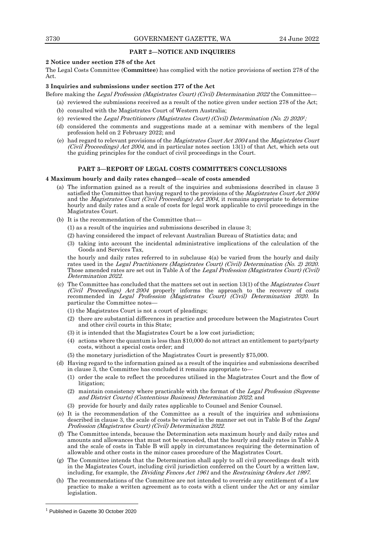# **PART 2—NOTICE AND INQUIRIES**

# **2 Notice under section 278 of the Act**

The Legal Costs Committee (**Committee**) has complied with the notice provisions of section 278 of the Act.

#### **3 Inquiries and submissions under section 277 of the Act**

Before making the Legal Profession (Magistrates Court) (Civil) Determination 2022 the Committee—

- (a) reviewed the submissions received as a result of the notice given under section 278 of the Act;
- (b) consulted with the Magistrates Court of Western Australia;
- (c) reviewed the Legal Practitioners (Magistrates Court) (Civil) Determination (No. 2) 2020<sup>1</sup>;
- (d) considered the comments and suggestions made at a seminar with members of the legal profession held on 2 February 2022; and
- (e) had regard to relevant provisions of the Magistrates Court Act <sup>2004</sup> and the Magistrates Court (Civil Proceedings) Act 2004, and in particular notes section 13(1) of that Act, which sets out the guiding principles for the conduct of civil proceedings in the Court.

### **PART 3—REPORT OF LEGAL COSTS COMMITTEE'S CONCLUSIONS**

# **4 Maximum hourly and daily rates changed—scale of costs amended**

- (a) The information gained as a result of the inquiries and submissions described in clause 3 satisfied the Committee that having regard to the provisions of the *Magistrates Court Act 2004* and the Magistrates Court (Civil Proceedings) Act <sup>2004</sup>, it remains appropriate to determine hourly and daily rates and a scale of costs for legal work applicable to civil proceedings in the Magistrates Court.
- (b) It is the recommendation of the Committee that—
	- (1) as a result of the inquiries and submissions described in clause 3;
	- (2) having considered the impact of relevant Australian Bureau of Statistics data; and
	- (3) taking into account the incidental administrative implications of the calculation of the Goods and Services Tax,

the hourly and daily rates referred to in subclause 4(a) be varied from the hourly and daily rates used in the Legal Practitioners (Magistrates Court) (Civil) Determination (No. 2) 2020. Those amended rates are set out in Table A of the Legal Profession (Magistrates Court) (Civil) Determination 2022.

- (c) The Committee has concluded that the matters set out in section 13(1) of the Magistrates Court (Civil Proceedings) Act  $2004$  properly informs the approach to the recovery of costs recommended in Legal Profession (Magistrates Court) (Civil) Determination 2020. In particular the Committee notes—
	- (1) the Magistrates Court is not a court of pleadings;
	- (2) there are substantial differences in practice and procedure between the Magistrates Court and other civil courts in this State;
	- (3) it is intended that the Magistrates Court be a low cost jurisdiction;
	- (4) actions where the quantum is less than \$10,000 do not attract an entitlement to party/party costs, without a special costs order; and
	- (5) the monetary jurisdiction of the Magistrates Court is presently \$75,000.
- (d) Having regard to the information gained as a result of the inquiries and submissions described in clause 3, the Committee has concluded it remains appropriate to—
	- (1) order the scale to reflect the procedures utilised in the Magistrates Court and the flow of litigation:
	- (2) maintain consistency where practicable with the format of the Legal Profession (Supreme and District Courts) (Contentious Business) Determination 2022; and
	- (3) provide for hourly and daily rates applicable to Counsel and Senior Counsel.
- (e) It is the recommendation of the Committee as a result of the inquiries and submissions described in clause 3, the scale of costs be varied in the manner set out in Table B of the Legal Profession (Magistrates Court) (Civil) Determination 2022.
- (f) The Committee intends, because the Determination sets maximum hourly and daily rates and amounts and allowances that must not be exceeded, that the hourly and daily rates in Table A and the scale of costs in Table B will apply in circumstances requiring the determination of allowable and other costs in the minor cases procedure of the Magistrates Court.
- (g) The Committee intends that the Determination shall apply to all civil proceedings dealt with in the Magistrates Court, including civil jurisdiction conferred on the Court by a written law, including, for example, the *Dividing Fences Act 1961* and the *Restraining Orders Act 1997*.
- (h) The recommendations of the Committee are not intended to override any entitlement of a law practice to make a written agreement as to costs with a client under the Act or any similar legislation.

<sup>&</sup>lt;sup>1</sup> Published in Gazette 30 October 2020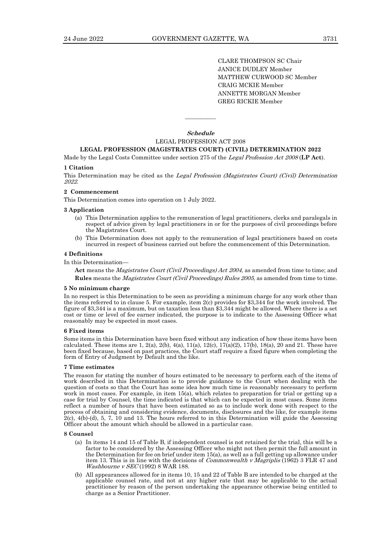CLARE THOMPSON SC Chair JANICE DUDLEY Member MATTHEW CURWOOD SC Member CRAIG MCKIE Member ANNETTE MORGAN Member GREG RICKIE Member

**Schedule** LEGAL PROFESSION ACT 2008

————

# **LEGAL PROFESSION (MAGISTRATES COURT) (CIVIL) DETERMINATION 2022**

Made by the Legal Costs Committee under section 275 of the Legal Profession Act <sup>2008</sup> (**LP Act**).

#### **1 Citation**

This Determination may be cited as the Legal Profession (Magistrates Court) (Civil) Determination 2022.

#### **2 Commencement**

This Determination comes into operation on 1 July 2022.

#### **3 Application**

- (a) This Determination applies to the remuneration of legal practitioners, clerks and paralegals in respect of advice given by legal practitioners in or for the purposes of civil proceedings before the Magistrates Court.
- (b) This Determination does not apply to the remuneration of legal practitioners based on costs incurred in respect of business carried out before the commencement of this Determination.

#### **4 Definitions**

In this Determination—

**Act** means the Magistrates Court (Civil Proceedings) Act 2004, as amended from time to time; and **Rules** means the Magistrates Court (Civil Proceedings) Rules 2005, as amended from time to time.

#### **5 No minimum charge**

In no respect is this Determination to be seen as providing a minimum charge for any work other than the items referred to in clause 5. For example, item 2(c) provides for \$3,344 for the work involved. The figure of \$3,344 is a maximum, but on taxation less than \$3,344 might be allowed. Where there is a set cost or time or level of fee earner indicated, the purpose is to indicate to the Assessing Officer what reasonably may be expected in most cases.

#### **6 Fixed items**

Some items in this Determination have been fixed without any indication of how these items have been calculated. These items are 1, 2(a), 2(b), 4(a), 11(a), 12(c), 17(a)(2), 17(b), 18(a), 20 and 21. These have been fixed because, based on past practices, the Court staff require a fixed figure when completing the form of Entry of Judgment by Default and the like.

#### **7 Time estimates**

The reason for stating the number of hours estimated to be necessary to perform each of the items of work described in this Determination is to provide guidance to the Court when dealing with the question of costs so that the Court has some idea how much time is reasonably necessary to perform work in most cases. For example, in item 15(a), which relates to preparation for trial or getting up a case for trial by Counsel, the time indicated is that which can be expected in most cases. Some items reflect a number of hours that have been estimated so as to include work done with respect to the process of obtaining and considering evidence, documents, disclosures and the like, for example items 2(c), 4(b)-(d), 5, 7, 10 and 13. The hours referred to in this Determination will guide the Assessing Officer about the amount which should be allowed in a particular case.

#### **8 Counsel**

- (a) In items 14 and 15 of Table B, if independent counsel is not retained for the trial, this will be a factor to be considered by the Assessing Officer who might not then permit the full amount in the Determination for fee on brief under item 15(a), as well as a full getting up allowance under item 13. This is in line with the decisions of Commonwealth v Magriplis (1962) 3 FLR 47 and Washbourne v  $SEC(1992)$  8 WAR 188.
- (b) All appearances allowed for in items 10, 15 and 22 of Table B are intended to be charged at the applicable counsel rate, and not at any higher rate that may be applicable to the actual practitioner by reason of the person undertaking the appearance otherwise being entitled to charge as a Senior Practitioner.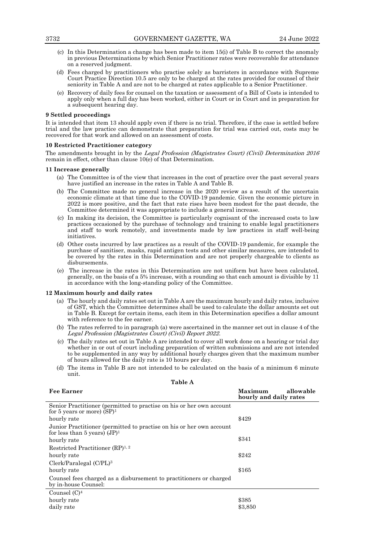- (c) In this Determination a change has been made to item 15(i) of Table B to correct the anomaly in previous Determinations by which Senior Practitioner rates were recoverable for attendance on a reserved judgment.
- (d) Fees charged by practitioners who practise solely as barristers in accordance with Supreme Court Practice Direction 10.5 are only to be charged at the rates provided for counsel of their seniority in Table A and are not to be charged at rates applicable to a Senior Practitioner.
- (e) Recovery of daily fees for counsel on the taxation or assessment of a Bill of Costs is intended to apply only when a full day has been worked, either in Court or in Court and in preparation for a subsequent hearing day.

#### **9 Settled proceedings**

It is intended that item 13 should apply even if there is no trial. Therefore, if the case is settled before trial and the law practice can demonstrate that preparation for trial was carried out, costs may be recovered for that work and allowed on an assessment of costs.

#### **10 Restricted Practitioner category**

The amendments brought in by the Legal Profession (Magistrates Court) (Civil) Determination 2016 remain in effect, other than clause 10(e) of that Determination.

#### **11 Increase generally**

- (a) The Committee is of the view that increases in the cost of practice over the past several years have justified an increase in the rates in Table A and Table B.
- (b) The Committee made no general increase in the 2020 review as a result of the uncertain economic climate at that time due to the COVID-19 pandemic. Given the economic picture in 2022 is more positive, and the fact that rate rises have been modest for the past decade, the Committee determined it was appropriate to include a general increase.
- (c) In making its decision, the Committee is particularly cognisant of the increased costs to law practices occasioned by the purchase of technology and training to enable legal practitioners and staff to work remotely, and investments made by law practices in staff well-being initiatives.
- (d) Other costs incurred by law practices as a result of the COVID-19 pandemic, for example the purchase of sanitiser, masks, rapid antigen tests and other similar measures, are intended to be covered by the rates in this Determination and are not properly chargeable to clients as disbursements.
- (e) The increase in the rates in this Determination are not uniform but have been calculated, generally, on the basis of a 5% increase, with a rounding so that each amount is divisible by 11 in accordance with the long-standing policy of the Committee.

#### **12 Maximum hourly and daily rates**

- (a) The hourly and daily rates set out in Table A are the maximum hourly and daily rates, inclusive of GST, which the Committee determines shall be used to calculate the dollar amounts set out in Table B. Except for certain items, each item in this Determination specifies a dollar amount with reference to the fee earner.
- (b) The rates referred to in paragraph (a) were ascertained in the manner set out in clause 4 of the Legal Profession (Magistrates Court) (Civil) Report 2022.
- (c) The daily rates set out in Table A are intended to cover all work done on a hearing or trial day whether in or out of court including preparation of written submissions and are not intended to be supplemented in any way by additional hourly charges given that the maximum number of hours allowed for the daily rate is 10 hours per day.
- (d) The items in Table B are not intended to be calculated on the basis of a minimum 6 minute unit.

| Table A                                                                                                 |                                                |  |  |
|---------------------------------------------------------------------------------------------------------|------------------------------------------------|--|--|
| <b>Fee Earner</b>                                                                                       | Maximum<br>allowable<br>hourly and daily rates |  |  |
| Senior Practitioner (permitted to practise on his or her own account<br>for 5 years or more) $(SP)^1$   |                                                |  |  |
| hourly rate                                                                                             | \$429                                          |  |  |
| Junior Practitioner (permitted to practise on his or her own account<br>for less than 5 years) $(JP)^1$ |                                                |  |  |
| hourly rate                                                                                             | \$341                                          |  |  |
| Restricted Practitioner $(RP)^{1,2}$                                                                    |                                                |  |  |
| hourly rate                                                                                             | \$242                                          |  |  |
| $Clerk/Paralegal (C/PL)^3$                                                                              |                                                |  |  |
| hourly rate                                                                                             | \$165                                          |  |  |
| Counsel fees charged as a disbursement to practitioners or charged<br>by in-house Counsel:              |                                                |  |  |
| Counsel $(C)^4$                                                                                         |                                                |  |  |
| hourly rate                                                                                             | \$385                                          |  |  |
| daily rate                                                                                              | \$3,850                                        |  |  |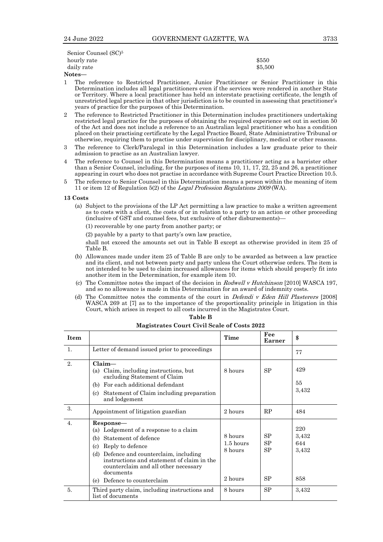| Senior Counsel (SC) <sup>5</sup> |         |
|----------------------------------|---------|
| hourly rate                      | \$550   |
| daily rate                       | \$5,500 |
| $J_{\alpha+\alpha\alpha}$        |         |

**Notes—**

- 1 The reference to Restricted Practitioner, Junior Practitioner or Senior Practitioner in this Determination includes all legal practitioners even if the services were rendered in another State or Territory. Where a local practitioner has held an interstate practising certificate, the length of unrestricted legal practice in that other jurisdiction is to be counted in assessing that practitioner's years of practice for the purposes of this Determination.
- 2 The reference to Restricted Practitioner in this Determination includes practitioners undertaking restricted legal practice for the purposes of obtaining the required experience set out in section 50 of the Act and does not include a reference to an Australian legal practitioner who has a condition placed on their practising certificate by the Legal Practice Board, State Administrative Tribunal or otherwise, requiring them to practise under supervision for disciplinary, medical or other reasons.
- 3 The reference to Clerk/Paralegal in this Determination includes a law graduate prior to their admission to practise as an Australian lawyer.
- 4 The reference to Counsel in this Determination means a practitioner acting as a barrister other than a Senior Counsel, including, for the purposes of items 10, 11, 17, 22, 25 and 26, a practitioner appearing in court who does not practise in accordance with Supreme Court Practice Direction 10.5.
- 5 The reference to Senior Counsel in this Determination means a person within the meaning of item 11 or item 12 of Regulation 5(2) of the Legal Profession Regulations <sup>2009</sup>(WA).

#### **13 Costs**

(a) Subject to the provisions of the LP Act permitting a law practice to make a written agreement as to costs with a client, the costs of or in relation to a party to an action or other proceeding (inclusive of GST and counsel fees, but exclusive of other disbursements)—

(1) recoverable by one party from another party; or

(2) payable by a party to that party's own law practice,

shall not exceed the amounts set out in Table B except as otherwise provided in item 25 of Table B.

- (b) Allowances made under item 25 of Table B are only to be awarded as between a law practice and its client, and not between party and party unless the Court otherwise orders. The item is not intended to be used to claim increased allowances for items which should properly fit into another item in the Determination, for example item 10.
- (c) The Committee notes the impact of the decision in Rodwell v Hutchinson [2010] WASCA 197, and so no allowance is made in this Determination for an award of indemnity costs.
- (d) The Committee notes the comments of the court in Defendi v Eden Hill Plasterers [2008] WASCA 269 at [7] as to the importance of the proportionality principle in litigation in this Court, which arises in respect to all costs incurred in the Magistrates Court.

| <b>Item</b>      |                                                                                                                                                                                                                                                                                               | Time                                         | Fee<br><b>Earner</b> | \$                                  |
|------------------|-----------------------------------------------------------------------------------------------------------------------------------------------------------------------------------------------------------------------------------------------------------------------------------------------|----------------------------------------------|----------------------|-------------------------------------|
| $\mathbf{1}$ .   | Letter of demand issued prior to proceedings                                                                                                                                                                                                                                                  |                                              |                      | 77                                  |
| 2.               | $Claim-$<br>(a) Claim, including instructions, but<br>excluding Statement of Claim<br>For each additional defendant<br>(b)<br>Statement of Claim including preparation<br>(c)<br>and lodgement                                                                                                | 8 hours                                      | <b>SP</b>            | 429<br>55<br>3,432                  |
| 3.               | Appointment of litigation guardian                                                                                                                                                                                                                                                            | 2 hours                                      | RP                   | 484                                 |
| $\overline{4}$ . | Response—<br>(a) Lodgement of a response to a claim<br>Statement of defence<br>(b)<br>Reply to defence<br>(c)<br>(d) Defence and counterclaim, including<br>instructions and statement of claim in the<br>counterclaim and all other necessary<br>documents<br>Defence to counterclaim<br>(e) | 8 hours<br>$1.5$ hours<br>8 hours<br>2 hours | SP<br>SP<br>SP<br>SP | 220<br>3,432<br>644<br>3,432<br>858 |
| 5.               | Third party claim, including instructions and<br>list of documents                                                                                                                                                                                                                            | 8 hours                                      | SP                   | 3,432                               |

**Table B Magistrates Court Civil Scale of Costs 2022**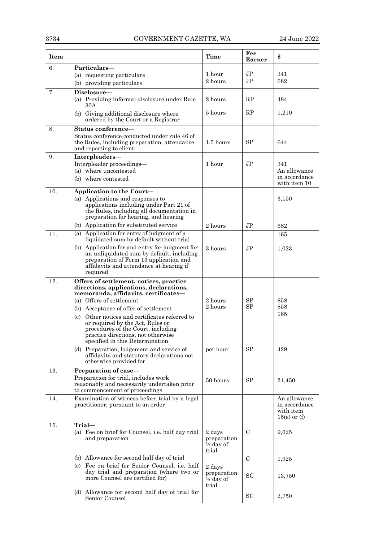| <b>Item</b> |                                                                                                                                                                                                                                                                                                                                                                                                                                                                                                                                                     | <b>Time</b>                                            | Fee<br>Earner                    | \$                                                           |
|-------------|-----------------------------------------------------------------------------------------------------------------------------------------------------------------------------------------------------------------------------------------------------------------------------------------------------------------------------------------------------------------------------------------------------------------------------------------------------------------------------------------------------------------------------------------------------|--------------------------------------------------------|----------------------------------|--------------------------------------------------------------|
| 6.          | Particulars-<br>(a) requesting particulars<br>(b) providing particulars                                                                                                                                                                                                                                                                                                                                                                                                                                                                             | 1 hour<br>2 hours                                      | J <sub>P</sub><br>J <sub>P</sub> | 341<br>682                                                   |
| 7.          | Disclosure-<br>(a) Providing informal disclosure under Rule<br>30A                                                                                                                                                                                                                                                                                                                                                                                                                                                                                  | 2 hours                                                | RP                               | 484                                                          |
|             | (b) Giving additional disclosure where<br>ordered by the Court or a Registrar                                                                                                                                                                                                                                                                                                                                                                                                                                                                       | 5 hours                                                | RP                               | 1,210                                                        |
| 8.          | Status conference-<br>Status conference conducted under rule 46 of<br>the Rules, including preparation, attendance<br>and reporting to client                                                                                                                                                                                                                                                                                                                                                                                                       | 1.5 hours                                              | <b>SP</b>                        | 644                                                          |
| 9.          | Interpleaders-<br>Interpleader proceedings-<br>(a) where uncontested<br>(b) where contested                                                                                                                                                                                                                                                                                                                                                                                                                                                         | 1 hour                                                 | J <sub>P</sub>                   | 341<br>An allowance<br>in accordance<br>with item 10         |
| 10.         | Application to the Court-<br>(a) Applications and responses to<br>applications including under Part 21 of<br>the Rules, including all documentation in<br>preparation for hearing, and hearing                                                                                                                                                                                                                                                                                                                                                      |                                                        |                                  | 3,150                                                        |
| 11.         | (b) Application for substituted service<br>(a) Application for entry of judgment of a                                                                                                                                                                                                                                                                                                                                                                                                                                                               | 2 hours                                                | JP                               | 682<br>165                                                   |
|             | liquidated sum by default without trial<br>(b) Application for and entry for judgment for<br>an unliquidated sum by default, including<br>preparation of Form 13 application and<br>affidavits and attendance at hearing if<br>required                                                                                                                                                                                                                                                                                                             | 3 hours                                                | J <sub>P</sub>                   | 1,023                                                        |
| 12.         | Offers of settlement, notices, practice<br>directions, applications, declarations,<br>memoranda, affidavits, certificates-<br>(a) Offers of settlement<br>(b) Acceptance of offer of settlement<br>Other notices and certificates referred to<br>$\left( \mathrm{c} \right)$<br>or required by the Act, Rules or<br>procedures of the Court, including<br>practice directions, not otherwise<br>specified in this Determination<br>(d) Preparation, lodgement and service of<br>affidavits and statutory declarations not<br>otherwise provided for | 2 hours<br>2 hours<br>per hour                         | SP<br><b>SP</b><br>SP            | 858<br>858<br>165<br>429                                     |
| 13.         | Preparation of case-<br>Preparation for trial, includes work<br>reasonably and necessarily undertaken prior<br>to commencement of proceedings                                                                                                                                                                                                                                                                                                                                                                                                       | 50 hours                                               | SP                               | 21,450                                                       |
| 14.         | Examination of witness before trial by a legal<br>practitioner, pursuant to an order                                                                                                                                                                                                                                                                                                                                                                                                                                                                |                                                        |                                  | An allowance<br>in accordance<br>with item<br>$15(e)$ or (f) |
| 15.         | Trial-<br>(a) Fee on brief for Counsel, i.e. half day trial<br>and preparation                                                                                                                                                                                                                                                                                                                                                                                                                                                                      | 2 days<br>preparation<br>$\frac{1}{2}$ day of<br>trial | $\mathcal{C}$                    | 9,625                                                        |
|             | (b) Allowance for second half day of trial                                                                                                                                                                                                                                                                                                                                                                                                                                                                                                          |                                                        | C                                | 1,925                                                        |
|             | (c) Fee on brief for Senior Counsel, i.e. half<br>day trial and preparation (where two or<br>more Counsel are certified for)                                                                                                                                                                                                                                                                                                                                                                                                                        | 2 days<br>preparation<br>$\frac{1}{2}$ day of<br>trial | <b>SC</b>                        | 13,750                                                       |
|             | (d) Allowance for second half day of trial for<br>Senior Counsel                                                                                                                                                                                                                                                                                                                                                                                                                                                                                    |                                                        | SC                               | 2,750                                                        |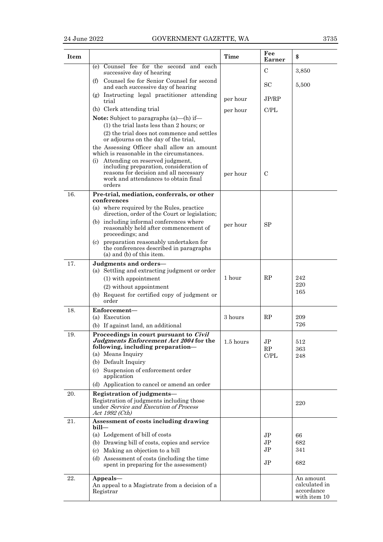| <b>Item</b> |                                                                                                                                                                                                          | Time        | Fee<br>Earner    | \$                                                       |
|-------------|----------------------------------------------------------------------------------------------------------------------------------------------------------------------------------------------------------|-------------|------------------|----------------------------------------------------------|
|             | Counsel fee for the second and each<br>(e)<br>successive day of hearing                                                                                                                                  |             | C                | 3,850                                                    |
|             | (f) Counsel fee for Senior Counsel for second<br>and each successive day of hearing                                                                                                                      |             | SC               | 5,500                                                    |
|             | (g) Instructing legal practitioner attending<br>trial                                                                                                                                                    | per hour    | JP/RP            |                                                          |
|             | (h) Clerk attending trial                                                                                                                                                                                | per hour    | C/PI.            |                                                          |
|             | <b>Note:</b> Subject to paragraphs $(a)$ — $(h)$ if—<br>$(1)$ the trial lasts less than 2 hours; or                                                                                                      |             |                  |                                                          |
|             | (2) the trial does not commence and settles<br>or adjourns on the day of the trial,                                                                                                                      |             |                  |                                                          |
|             | the Assessing Officer shall allow an amount<br>which is reasonable in the circumstances.                                                                                                                 |             |                  |                                                          |
|             | (i) Attending on reserved judgment,<br>including preparation, consideration of<br>reasons for decision and all necessary<br>work and attendances to obtain final<br>orders                               | per hour    | $\mathcal{C}$    |                                                          |
| 16.         | Pre-trial, mediation, conferrals, or other<br>conferences                                                                                                                                                |             |                  |                                                          |
|             | (a) where required by the Rules, practice<br>direction, order of the Court or legislation;                                                                                                               |             |                  |                                                          |
|             | (b) including informal conferences where<br>reasonably held after commencement of<br>proceedings; and                                                                                                    | per hour    | <b>SP</b>        |                                                          |
|             | (c) preparation reasonably undertaken for<br>the conferences described in paragraphs<br>$(a)$ and $(b)$ of this item.                                                                                    |             |                  |                                                          |
| 17.         | Judgments and orders-<br>(a) Settling and extracting judgment or order                                                                                                                                   |             |                  |                                                          |
|             | (1) with appointment                                                                                                                                                                                     | 1 hour      | RP               | 242<br>220                                               |
|             | (2) without appointment<br>(b) Request for certified copy of judgment or<br>order                                                                                                                        |             |                  | 165                                                      |
| 18.         | Enforcement-                                                                                                                                                                                             |             |                  |                                                          |
|             | (a) Execution                                                                                                                                                                                            | 3 hours     | RP               | 209                                                      |
|             | (b) If against land, an additional                                                                                                                                                                       |             |                  | 726                                                      |
| 19.         | Proceedings in court pursuant to Civil<br>Judgments Enforcement Act 2004 for the<br>following, including preparation-<br>(a) Means Inquiry<br>(b) Default Inquiry<br>(c) Suspension of enforcement order | $1.5$ hours | JP<br>RP<br>C/PL | 512<br>363<br>248                                        |
|             | application<br>(d) Application to cancel or amend an order                                                                                                                                               |             |                  |                                                          |
| 20.         | Registration of judgments-<br>Registration of judgments including those<br>under Service and Execution of Process<br>Act 1992 (Cth)                                                                      |             |                  | 220                                                      |
| 21.         | Assessment of costs including drawing<br>$b$ ill—                                                                                                                                                        |             |                  |                                                          |
|             | (a) Lodgement of bill of costs                                                                                                                                                                           |             | J <sub>P</sub>   | 66                                                       |
|             | (b) Drawing bill of costs, copies and service                                                                                                                                                            |             | J <sub>P</sub>   | 682                                                      |
|             | Making an objection to a bill<br>(c)                                                                                                                                                                     |             | JР               | 341                                                      |
|             | (d) Assessment of costs (including the time<br>spent in preparing for the assessment)                                                                                                                    |             | J <sub>P</sub>   | 682                                                      |
| 22.         | Appeals-<br>An appeal to a Magistrate from a decision of a<br>Registrar                                                                                                                                  |             |                  | An amount<br>calculated in<br>accordance<br>with item 10 |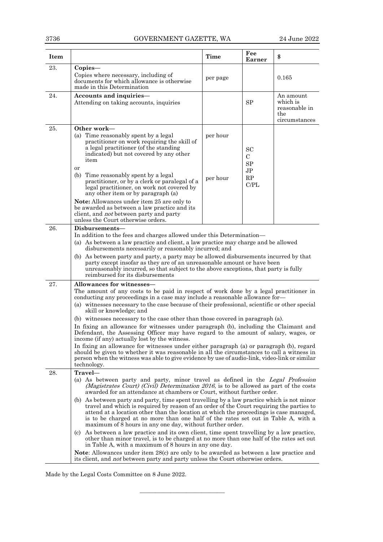| <b>Item</b> |                                                                                                                                                                                                                                                                                                                                                                                                                                                                                                                                                                                                                                                                                                                                                                                                                                                                                                                                                                                                                                                                                                                                                 | <b>Time</b>          | Fee<br>Earner                                               | \$                                                             |
|-------------|-------------------------------------------------------------------------------------------------------------------------------------------------------------------------------------------------------------------------------------------------------------------------------------------------------------------------------------------------------------------------------------------------------------------------------------------------------------------------------------------------------------------------------------------------------------------------------------------------------------------------------------------------------------------------------------------------------------------------------------------------------------------------------------------------------------------------------------------------------------------------------------------------------------------------------------------------------------------------------------------------------------------------------------------------------------------------------------------------------------------------------------------------|----------------------|-------------------------------------------------------------|----------------------------------------------------------------|
| 23.         | $Copies-$<br>Copies where necessary, including of<br>documents for which allowance is otherwise<br>made in this Determination                                                                                                                                                                                                                                                                                                                                                                                                                                                                                                                                                                                                                                                                                                                                                                                                                                                                                                                                                                                                                   | per page             |                                                             | 0.165                                                          |
| 24.         | Accounts and inquiries-<br>Attending on taking accounts, inquiries                                                                                                                                                                                                                                                                                                                                                                                                                                                                                                                                                                                                                                                                                                                                                                                                                                                                                                                                                                                                                                                                              |                      | SP                                                          | An amount<br>which is<br>reasonable in<br>the<br>circumstances |
| 25.         | Other work-<br>(a) Time reasonably spent by a legal<br>practitioner on work requiring the skill of<br>a legal practitioner (of the standing<br>indicated) but not covered by any other<br>item<br>or<br>(b)<br>Time reasonably spent by a legal<br>practitioner, or by a clerk or paralegal of a<br>legal practitioner, on work not covered by<br>any other item or by paragraph (a)<br>Note: Allowances under item 25 are only to<br>be awarded as between a law practice and its<br>client, and <i>not</i> between party and party<br>unless the Court otherwise orders.                                                                                                                                                                                                                                                                                                                                                                                                                                                                                                                                                                      | per hour<br>per hour | <b>SC</b><br>С<br><b>SP</b><br>J <sub>P</sub><br>RP<br>C/PL |                                                                |
| 26.         | Disbursements-<br>In addition to the fees and charges allowed under this Determination—<br>(a) As between a law practice and client, a law practice may charge and be allowed<br>disbursements necessarily or reasonably incurred; and<br>(b) As between party and party, a party may be allowed disbursements incurred by that<br>party except insofar as they are of an unreasonable amount or have been<br>unreasonably incurred, so that subject to the above exceptions, that party is fully<br>reimbursed for its disbursements                                                                                                                                                                                                                                                                                                                                                                                                                                                                                                                                                                                                           |                      |                                                             |                                                                |
| 27.         | Allowances for witnesses—<br>The amount of any costs to be paid in respect of work done by a legal practitioner in<br>conducting any proceedings in a case may include a reasonable allowance for-<br>(a) witnesses necessary to the case because of their professional, scientific or other special<br>skill or knowledge; and<br>(b) witnesses necessary to the case other than those covered in paragraph (a).<br>In fixing an allowance for witnesses under paragraph (b), including the Claimant and<br>Defendant, the Assessing Officer may have regard to the amount of salary, wages, or<br>income (if any) actually lost by the witness.<br>In fixing an allowance for witnesses under either paragraph (a) or paragraph (b), regard<br>should be given to whether it was reasonable in all the circumstances to call a witness in<br>person when the witness was able to give evidence by use of audio-link, video-link or similar<br>technology.                                                                                                                                                                                     |                      |                                                             |                                                                |
| 28.         | Travel-<br>(a) As between party and party, minor travel as defined in the Legal Profession<br>(Magistrates Court) (Civil) Determination 2016, is to be allowed as part of the costs<br>awarded for an attendance at chambers or Court, without further order.<br>(b) As between party and party, time spent travelling by a law practice which is not minor<br>travel and which is required by reason of an order of the Court requiring the parties to<br>attend at a location other than the location at which the proceedings is case managed,<br>is to be charged at no more than one half of the rates set out in Table A, with a<br>maximum of 8 hours in any one day, without further order.<br>(c) As between a law practice and its own client, time spent travelling by a law practice,<br>other than minor travel, is to be charged at no more than one half of the rates set out<br>in Table A, with a maximum of 8 hours in any one day.<br><b>Note:</b> Allowances under item 28(c) are only to be awarded as between a law practice and<br>its client, and <i>not</i> between party and party unless the Court otherwise orders. |                      |                                                             |                                                                |

 $\frac{1}{\sqrt{2}}$  , and the set of the set of the set of the set of the set of the set of the set of the set of the set of the set of the set of the set of the set of the set of the set of the set of the set of the set of the

Made by the Legal Costs Committee on 8 June 2022.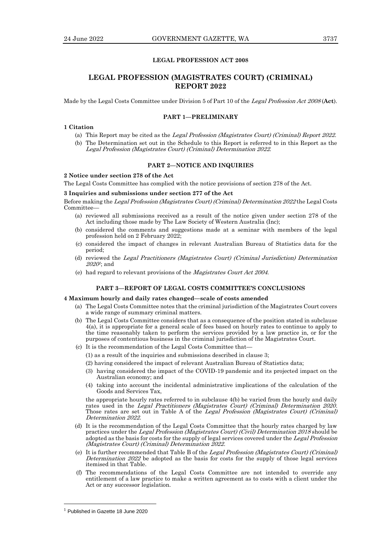# **LEGAL PROFESSION ACT 2008**

# **LEGAL PROFESSION (MAGISTRATES COURT) (CRIMINAL) REPORT 2022**

Made by the Legal Costs Committee under Division 5 of Part 10 of the Legal Profession Act <sup>2008</sup>(**Act**).

#### **PART 1—PRELIMINARY**

#### **1 Citation**

- (a) This Report may be cited as the Legal Profession (Magistrates Court) (Criminal) Report 2022.
- (b) The Determination set out in the Schedule to this Report is referred to in this Report as the Legal Profession (Magistrates Court) (Criminal) Determination 2022.

#### **PART 2—NOTICE AND INQUIRIES**

#### **2 Notice under section 278 of the Act**

The Legal Costs Committee has complied with the notice provisions of section 278 of the Act.

# **3 Inquiries and submissions under section 277 of the Act**

Before making the Legal Profession (Magistrates Court) (Criminal) Determination 2022 the Legal Costs Committee

- (a) reviewed all submissions received as a result of the notice given under section 278 of the Act including those made by The Law Society of Western Australia (Inc);
- (b) considered the comments and suggestions made at a seminar with members of the legal profession held on 2 February 2022;
- (c) considered the impact of changes in relevant Australian Bureau of Statistics data for the period;
- (d) reviewed the Legal Practitioners (Magistrates Court) (Criminal Jurisdiction) Determination  $\it 2020$ 1; and
- (e) had regard to relevant provisions of the Magistrates Court Act <sup>2004</sup>.

### **PART 3—REPORT OF LEGAL COSTS COMMITTEE'S CONCLUSIONS**

#### **4 Maximum hourly and daily rates changed—scale of costs amended**

- (a) The Legal Costs Committee notes that the criminal jurisdiction of the Magistrates Court covers a wide range of summary criminal matters.
- (b) The Legal Costs Committee considers that as a consequence of the position stated in subclause 4(a), it is appropriate for a general scale of fees based on hourly rates to continue to apply to the time reasonably taken to perform the services provided by a law practice in, or for the purposes of contentious business in the criminal jurisdiction of the Magistrates Court.
- (c) It is the recommendation of the Legal Costs Committee that—
	- (1) as a result of the inquiries and submissions described in clause 3;
	- (2) having considered the impact of relevant Australian Bureau of Statistics data;
	- (3) having considered the impact of the COVID-19 pandemic and its projected impact on the Australian economy; and
	- (4) taking into account the incidental administrative implications of the calculation of the Goods and Services Tax,

the appropriate hourly rates referred to in subclause 4(b) be varied from the hourly and daily rates used in the Legal Practitioners (Magistrates Court) (Criminal) Determination 2020. Those rates are set out in Table A of the Legal Profession (Magistrates Court) (Criminal) Determination 2022.

- (d) It is the recommendation of the Legal Costs Committee that the hourly rates charged by law practices under the Legal Profession (Magistrates Court) (Civil) Determination 2018 should be adopted as the basis for costs for the supply of legal services covered under the Legal Profession (Magistrates Court) (Criminal) Determination 2022.
- (e) It is further recommended that Table B of the Legal Profession (Magistrates Court) (Criminal) Determination 2022 be adopted as the basis for costs for the supply of those legal services itemised in that Table.
- (f) The recommendations of the Legal Costs Committee are not intended to override any entitlement of a law practice to make a written agreement as to costs with a client under the Act or any successor legislation.

<sup>&</sup>lt;sup>1</sup> Published in Gazette 18 June 2020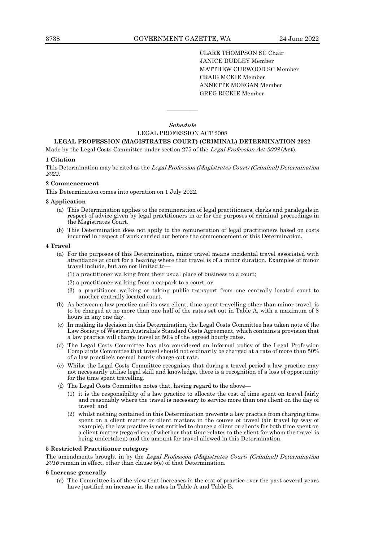CLARE THOMPSON SC Chair JANICE DUDLEY Member MATTHEW CURWOOD SC Member CRAIG MCKIE Member ANNETTE MORGAN Member GREG RICKIE Member

**Schedule**

————

#### LEGAL PROFESSION ACT 2008

# **LEGAL PROFESSION (MAGISTRATES COURT) (CRIMINAL) DETERMINATION 2022**

Made by the Legal Costs Committee under section 275 of the Legal Profession Act <sup>2008</sup>(**Act**).

### **1 Citation**

This Determination may be cited as the Legal Profession (Magistrates Court) (Criminal) Determination 2022.

#### **2 Commencement**

This Determination comes into operation on 1 July 2022.

#### **3 Application**

- (a) This Determination applies to the remuneration of legal practitioners, clerks and paralegals in respect of advice given by legal practitioners in or for the purposes of criminal proceedings in the Magistrates Court.
- (b) This Determination does not apply to the remuneration of legal practitioners based on costs incurred in respect of work carried out before the commencement of this Determination.

#### **4 Travel**

- (a) For the purposes of this Determination, minor travel means incidental travel associated with attendance at court for a hearing where that travel is of a minor duration. Examples of minor travel include, but are not limited to—
	- (1) a practitioner walking from their usual place of business to a court;
	- (2) a practitioner walking from a carpark to a court; or
	- (3) a practitioner walking or taking public transport from one centrally located court to another centrally located court.
- (b) As between a law practice and its own client, time spent travelling other than minor travel, is to be charged at no more than one half of the rates set out in Table A, with a maximum of 8 hours in any one day.
- (c) In making its decision in this Determination, the Legal Costs Committee has taken note of the Law Society of Western Australia's Standard Costs Agreement, which contains a provision that a law practice will charge travel at 50% of the agreed hourly rates.
- (d) The Legal Costs Committee has also considered an informal policy of the Legal Profession Complaints Committee that travel should not ordinarily be charged at a rate of more than 50% of a law practice's normal hourly charge-out rate.
- (e) Whilst the Legal Costs Committee recognises that during a travel period a law practice may not necessarily utilise legal skill and knowledge, there is a recognition of a loss of opportunity for the time spent travelling.
- (f) The Legal Costs Committee notes that, having regard to the above—
	- (1) it is the responsibility of a law practice to allocate the cost of time spent on travel fairly and reasonably where the travel is necessary to service more than one client on the day of travel; and
	- (2) whilst nothing contained in this Determination prevents a law practice from charging time spent on a client matter or client matters in the course of travel (air travel by way of example), the law practice is not entitled to charge a client or clients for both time spent on a client matter (regardless of whether that time relates to the client for whom the travel is being undertaken) and the amount for travel allowed in this Determination.

# **5 Restricted Practitioner category**

The amendments brought in by the Legal Profession (Magistrates Court) (Criminal) Determination  $2016$  remain in effect, other than clause  $5(e)$  of that Determination.

#### **6 Increase generally**

(a) The Committee is of the view that increases in the cost of practice over the past several years have justified an increase in the rates in Table A and Table B.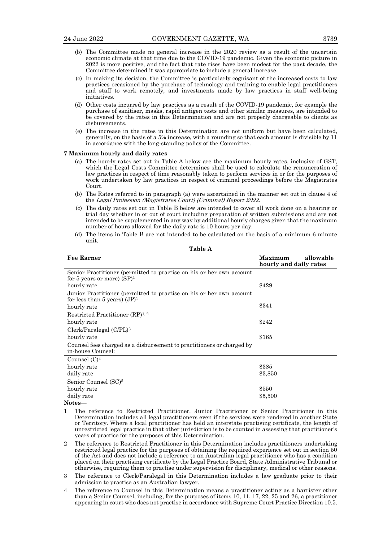- (b) The Committee made no general increase in the 2020 review as a result of the uncertain economic climate at that time due to the COVID-19 pandemic. Given the economic picture in 2022 is more positive, and the fact that rate rises have been modest for the past decade, the Committee determined it was appropriate to include a general increase.
- (c) In making its decision, the Committee is particularly cognisant of the increased costs to law practices occasioned by the purchase of technology and training to enable legal practitioners and staff to work remotely, and investments made by law practices in staff well-being initiatives.
- (d) Other costs incurred by law practices as a result of the COVID-19 pandemic, for example the purchase of sanitiser, masks, rapid antigen tests and other similar measures, are intended to be covered by the rates in this Determination and are not properly chargeable to clients as disbursements.
- (e) The increase in the rates in this Determination are not uniform but have been calculated, generally, on the basis of a 5% increase, with a rounding so that each amount is divisible by 11 in accordance with the long-standing policy of the Committee.

#### **7 Maximum hourly and daily rates**

- (a) The hourly rates set out in Table A below are the maximum hourly rates, inclusive of GST, which the Legal Costs Committee determines shall be used to calculate the remuneration of law practices in respect of time reasonably taken to perform services in or for the purposes of work undertaken by law practices in respect of criminal proceedings before the Magistrates Court.
- (b) The Rates referred to in paragraph (a) were ascertained in the manner set out in clause 4 of the Legal Profession (Magistrates Court) (Criminal) Report 2022.
- (c) The daily rates set out in Table B below are intended to cover all work done on a hearing or trial day whether in or out of court including preparation of written submissions and are not intended to be supplemented in any way by additional hourly charges given that the maximum number of hours allowed for the daily rate is 10 hours per day.
- (d) The items in Table B are not intended to be calculated on the basis of a minimum 6 minute unit.

**Table A**

| <b>Fee Earner</b>                                                                                       | Maximum<br>allowable<br>hourly and daily rates |
|---------------------------------------------------------------------------------------------------------|------------------------------------------------|
| Senior Practitioner (permitted to practise on his or her own account<br>for 5 years or more) $(SP)^1$   |                                                |
| hourly rate                                                                                             | \$429                                          |
| Junior Practitioner (permitted to practise on his or her own account<br>for less than 5 years) $(JP)^1$ |                                                |
| hourly rate                                                                                             | \$341                                          |
| Restricted Practitioner $(RP)^{1,2}$                                                                    |                                                |
| hourly rate                                                                                             | \$242                                          |
| $Clerk/Paralegal (C/PL)^3$                                                                              |                                                |
| hourly rate                                                                                             | \$165                                          |
| Counsel fees charged as a disbursement to practitioners or charged by<br>in-house Counsel:              |                                                |
| Counsel $(C)^4$                                                                                         |                                                |
| hourly rate                                                                                             | \$385                                          |
| daily rate                                                                                              | \$3,850                                        |
| Senior Counsel (SC) <sup>5</sup>                                                                        |                                                |
| hourly rate                                                                                             | \$550                                          |
| daily rate                                                                                              | \$5,500                                        |
| $N \sim + \sim \sim$                                                                                    |                                                |

- **Notes—**
- 1 The reference to Restricted Practitioner, Junior Practitioner or Senior Practitioner in this Determination includes all legal practitioners even if the services were rendered in another State or Territory. Where a local practitioner has held an interstate practising certificate, the length of unrestricted legal practice in that other jurisdiction is to be counted in assessing that practitioner's years of practice for the purposes of this Determination.
- 2 The reference to Restricted Practitioner in this Determination includes practitioners undertaking restricted legal practice for the purposes of obtaining the required experience set out in section 50 of the Act and does not include a reference to an Australian legal practitioner who has a condition placed on their practising certificate by the Legal Practice Board, State Administrative Tribunal or otherwise, requiring them to practise under supervision for disciplinary, medical or other reasons.
- 3 The reference to Clerk/Paralegal in this Determination includes a law graduate prior to their admission to practise as an Australian lawyer.
- 4 The reference to Counsel in this Determination means a practitioner acting as a barrister other than a Senior Counsel, including, for the purposes of items 10, 11, 17, 22, 25 and 26, a practitioner appearing in court who does not practise in accordance with Supreme Court Practice Direction 10.5.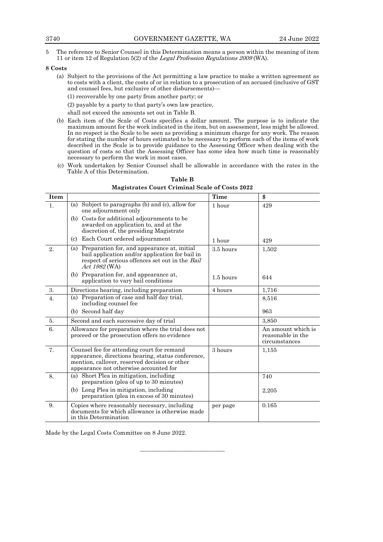5 The reference to Senior Counsel in this Determination means a person within the meaning of item 11 or item 12 of Regulation 5(2) of the Legal Profession Regulations <sup>2009</sup>(WA).

#### **8 Costs**

- (a) Subject to the provisions of the Act permitting a law practice to make a written agreement as to costs with a client, the costs of or in relation to a prosecution of an accused (inclusive of GST and counsel fees, but exclusive of other disbursements)—
	- (1) recoverable by one party from another party; or

(2) payable by a party to that party's own law practice,

shall not exceed the amounts set out in Table B.

- (b) Each item of the Scale of Costs specifies a dollar amount. The purpose is to indicate the maximum amount for the work indicated in the item, but on assessment, less might be allowed. In no respect is the Scale to be seen as providing a minimum charge for any work. The reason for stating the number of hours estimated to be necessary to perform each of the items of work described in the Scale is to provide guidance to the Assessing Officer when dealing with the question of costs so that the Assessing Officer has some idea how much time is reasonably necessary to perform the work in most cases.
- (c) Work undertaken by Senior Counsel shall be allowable in accordance with the rates in the Table A of this Determination.

| <b>Item</b>    |                                                                                                                                                                                             | Time        | \$                                                       |
|----------------|---------------------------------------------------------------------------------------------------------------------------------------------------------------------------------------------|-------------|----------------------------------------------------------|
| 1 <sub>1</sub> | Subject to paragraphs (b) and (c), allow for<br>(a)<br>one adjournment only                                                                                                                 | 1 hour      | 429                                                      |
|                | (b) Costs for additional adjournments to be<br>awarded on application to, and at the<br>discretion of, the presiding Magistrate                                                             |             |                                                          |
|                | Each Court ordered adjournment<br>(c)                                                                                                                                                       | 1 hour      | 429                                                      |
| 2.             | (a) Preparation for, and appearance at, initial<br>bail application and/or application for bail in<br>respect of serious offences set out in the Bail<br>Act 1982 (WA)                      | $3.5$ hours | 1,502                                                    |
|                | (b) Preparation for, and appearance at,<br>application to vary bail conditions                                                                                                              | $1.5$ hours | 644                                                      |
| 3.             | Directions hearing, including preparation                                                                                                                                                   | 4 hours     | 1,716                                                    |
| 4.             | (a) Preparation of case and half day trial,<br>including counsel fee                                                                                                                        |             | 8.516                                                    |
|                | (b) Second half day                                                                                                                                                                         |             | 963                                                      |
| 5.             | Second and each successive day of trial                                                                                                                                                     |             | 3,850                                                    |
| 6.             | Allowance for preparation where the trial does not<br>proceed or the prosecution offers no evidence                                                                                         |             | An amount which is<br>reasonable in the<br>circumstances |
| 7.             | Counsel fee for attending court for remand<br>appearance, directions hearing, status conference,<br>mention, callover, reserved decision or other<br>appearance not otherwise accounted for | 3 hours     | 1,155                                                    |
| 8.             | (a) Short Plea in mitigation, including<br>preparation (plea of up to 30 minutes)                                                                                                           |             | 740                                                      |
|                | (b) Long Plea in mitigation, including<br>preparation (plea in excess of 30 minutes)                                                                                                        |             | 2,205                                                    |
| 9.             | Copies where reasonably necessary, including<br>documents for which allowance is otherwise made<br>in this Determination                                                                    | per page    | 0.165                                                    |

———————————

**Table B Magistrates Court Criminal Scale of Costs 2022**

Made by the Legal Costs Committee on 8 June 2022.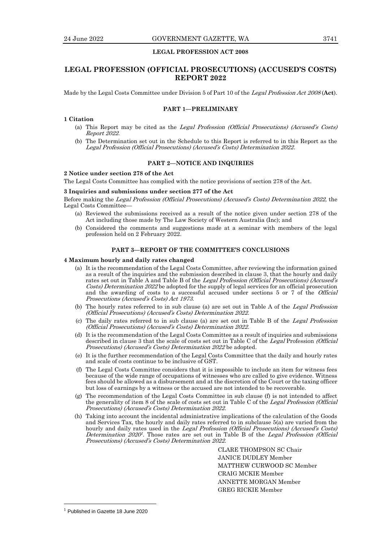# **LEGAL PROFESSION ACT 2008**

# **LEGAL PROFESSION (OFFICIAL PROSECUTIONS) (ACCUSED'S COSTS) REPORT 2022**

Made by the Legal Costs Committee under Division 5 of Part 10 of the Legal Profession Act <sup>2008</sup> (**Act**).

# **PART 1—PRELIMINARY**

#### **1 Citation**

- (a) This Report may be cited as the Legal Profession (Official Prosecutions) (Accused's Costs) Report 2022.
- (b) The Determination set out in the Schedule to this Report is referred to in this Report as the Legal Profession (Official Prosecutions) (Accused's Costs) Determination 2022.

# **PART 2—NOTICE AND INQUIRIES**

# **2 Notice under section 278 of the Act**

The Legal Costs Committee has complied with the notice provisions of section 278 of the Act.

#### **3 Inquiries and submissions under section 277 of the Act**

Before making the Legal Profession (Official Prosecutions) (Accused's Costs) Determination 2022, the Legal Costs Committee—

- (a) Reviewed the submissions received as a result of the notice given under section 278 of the Act including those made by The Law Society of Western Australia (Inc); and
- (b) Considered the comments and suggestions made at a seminar with members of the legal profession held on 2 February 2022.

# **PART 3—REPORT OF THE COMMITTEE'S CONCLUSIONS**

#### **4 Maximum hourly and daily rates changed**

- (a) It is the recommendation of the Legal Costs Committee, after reviewing the information gained as a result of the inquiries and the submission described in clause 3, that the hourly and daily rates set out in Table A and Table B of the *Legal Profession (Official Prosecutions) (Accused's* Costs) Determination 2022 be adopted for the supply of legal services for an official prosecution and the awarding of costs to a successful accused under sections 5 or 7 of the Official Prosecutions (Accused's Costs) Act <sup>1973</sup>.
- (b) The hourly rates referred to in sub clause (a) are set out in Table A of the Legal Profession (Official Prosecutions) (Accused's Costs) Determination 2022.
- (c) The daily rates referred to in sub clause (a) are set out in Table B of the Legal Profession (Official Prosecutions) (Accused's Costs) Determination 2022.
- (d) It is the recommendation of the Legal Costs Committee as a result of inquiries and submissions described in clause 3 that the scale of costs set out in Table C of the Legal Profession (Official Prosecutions) (Accused's Costs) Determination 2022 be adopted.
- (e) It is the further recommendation of the Legal Costs Committee that the daily and hourly rates and scale of costs continue to be inclusive of GST.
- (f) The Legal Costs Committee considers that it is impossible to include an item for witness fees because of the wide range of occupations of witnesses who are called to give evidence. Witness fees should be allowed as a disbursement and at the discretion of the Court or the taxing officer but loss of earnings by a witness or the accused are not intended to be recoverable.
- (g) The recommendation of the Legal Costs Committee in sub clause (f) is not intended to affect the generality of item 8 of the scale of costs set out in Table C of the Legal Profession (Official Prosecutions) (Accused's Costs) Determination 2022.
- (h) Taking into account the incidental administrative implications of the calculation of the Goods and Services Tax, the hourly and daily rates referred to in subclause 5(a) are varied from the hourly and daily rates used in the *Legal Profession (Official Prosecutions) (Accused's Costs)* Determination 2020<sup>1</sup>. Those rates are set out in Table B of the Legal Profession (Official Prosecutions) (Accused's Costs) Determination 2022.

CLARE THOMPSON SC Chair JANICE DUDLEY Member MATTHEW CURWOOD SC Member CRAIG MCKIE Member ANNETTE MORGAN Member GREG RICKIE Member

<sup>&</sup>lt;sup>1</sup> Published in Gazette 18 June 2020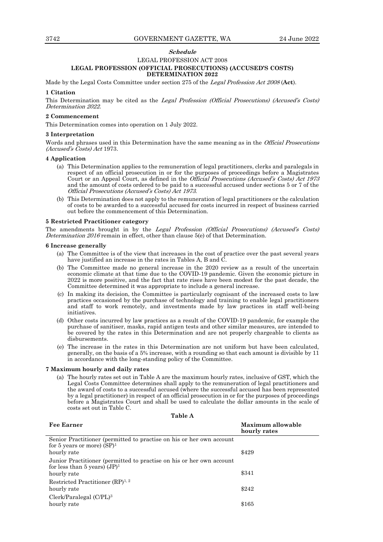# **Schedule**

# LEGAL PROFESSION ACT 2008 **LEGAL PROFESSION (OFFICIAL PROSECUTIONS) (ACCUSED'S COSTS) DETERMINATION 2022**

Made by the Legal Costs Committee under section 275 of the Legal Profession Act <sup>2008</sup>(**Act**).

#### **1 Citation**

This Determination may be cited as the Legal Profession (Official Prosecutions) (Accused's Costs) Determination 2022.

#### **2 Commencement**

This Determination comes into operation on 1 July 2022.

#### **3 Interpretation**

Words and phrases used in this Determination have the same meaning as in the *Official Prosecutions* (Accused's Costs) Act 1973.

#### **4 Application**

- (a) This Determination applies to the remuneration of legal practitioners, clerks and paralegals in respect of an official prosecution in or for the purposes of proceedings before a Magistrates Court or an Appeal Court, as defined in the *Official Prosecutions (Accused's Costs) Act 1973* and the amount of costs ordered to be paid to a successful accused under sections 5 or 7 of the Official Prosecutions (Accused's Costs) Act <sup>1973</sup>.
- (b) This Determination does not apply to the remuneration of legal practitioners or the calculation of costs to be awarded to a successful accused for costs incurred in respect of business carried out before the commencement of this Determination.

#### **5 Restricted Practitioner category**

The amendments brought in by the Legal Profession (Official Prosecutions) (Accused's Costs) Determination 2016 remain in effect, other than clause 5(e) of that Determination.

#### **6 Increase generally**

- (a) The Committee is of the view that increases in the cost of practice over the past several years have justified an increase in the rates in Tables A, B and C.
- (b) The Committee made no general increase in the 2020 review as a result of the uncertain economic climate at that time due to the COVID-19 pandemic. Given the economic picture in 2022 is more positive, and the fact that rate rises have been modest for the past decade, the Committee determined it was appropriate to include a general increase.
- (c) In making its decision, the Committee is particularly cognisant of the increased costs to law practices occasioned by the purchase of technology and training to enable legal practitioners and staff to work remotely, and investments made by law practices in staff well-being initiatives.
- (d) Other costs incurred by law practices as a result of the COVID-19 pandemic, for example the purchase of sanitiser, masks, rapid antigen tests and other similar measures, are intended to be covered by the rates in this Determination and are not properly chargeable to clients as disbursements.
- (e) The increase in the rates in this Determination are not uniform but have been calculated, generally, on the basis of a 5% increase, with a rounding so that each amount is divisible by 11 in accordance with the long-standing policy of the Committee.

#### **7 Maximum hourly and daily rates**

(a) The hourly rates set out in Table A are the maximum hourly rates, inclusive of GST, which the Legal Costs Committee determines shall apply to the remuneration of legal practitioners and the award of costs to a successful accused (where the successful accused has been represented by a legal practitioner) in respect of an official prosecution in or for the purposes of proceedings before a Magistrates Court and shall be used to calculate the dollar amounts in the scale of costs set out in Table C.

**Table A**

| <b>Fee Earner</b>                                                                                       | Maximum allowable<br>hourly rates |
|---------------------------------------------------------------------------------------------------------|-----------------------------------|
| Senior Practitioner (permitted to practise on his or her own account<br>for 5 years or more) $(SP)^1$   |                                   |
| hourly rate                                                                                             | \$429                             |
| Junior Practitioner (permitted to practise on his or her own account<br>for less than 5 years) $(JP)^1$ |                                   |
| hourly rate                                                                                             | \$341                             |
| Restricted Practitioner $(RP)^{1,2}$<br>hourly rate                                                     | \$242                             |
| $Clerk/Paralegal (C/PL)^3$<br>hourly rate                                                               | \$165                             |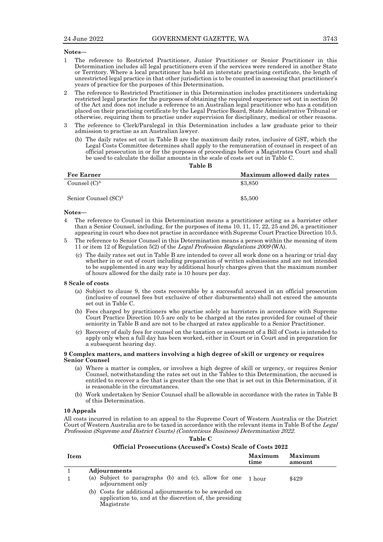#### **Notes—**

- 1 The reference to Restricted Practitioner, Junior Practitioner or Senior Practitioner in this Determination includes all legal practitioners even if the services were rendered in another State or Territory. Where a local practitioner has held an interstate practising certificate, the length of unrestricted legal practice in that other jurisdiction is to be counted in assessing that practitioner's years of practice for the purposes of this Determination.
- 2 The reference to Restricted Practitioner in this Determination includes practitioners undertaking restricted legal practice for the purposes of obtaining the required experience set out in section 50 of the Act and does not include a reference to an Australian legal practitioner who has a condition placed on their practising certificate by the Legal Practice Board, State Administrative Tribunal or otherwise, requiring them to practise under supervision for disciplinary, medical or other reasons.
- 3 The reference to Clerk/Paralegal in this Determination includes a law graduate prior to their admission to practise as an Australian lawyer.
	- (b) The daily rates set out in Table B are the maximum daily rates, inclusive of GST, which the Legal Costs Committee determines shall apply to the remuneration of counsel in respect of an official prosecution in or for the purposes of proceedings before a Magistrates Court and shall be used to calculate the dollar amounts in the scale of costs set out in Table C.

**Table B**

| <b>Fee Earner</b>                | Maximum allowed daily rates |
|----------------------------------|-----------------------------|
| Counsel $(C)^4$                  | \$3,850                     |
| Senior Counsel (SC) <sup>5</sup> | \$5,500                     |

#### **Notes—**

- 4 The reference to Counsel in this Determination means a practitioner acting as a barrister other than a Senior Counsel, including, for the purposes of items 10, 11, 17, 22, 25 and 26, a practitioner appearing in court who does not practise in accordance with Supreme Court Practice Direction 10.5.
- 5 The reference to Senior Counsel in this Determination means a person within the meaning of item 11 or item 12 of Regulation 5(2) of the Legal Profession Regulations <sup>2009</sup>(WA).
	- (c) The daily rates set out in Table B are intended to cover all work done on a hearing or trial day whether in or out of court including preparation of written submissions and are not intended to be supplemented in any way by additional hourly charges given that the maximum number of hours allowed for the daily rate is 10 hours per day.

#### **8 Scale of costs**

- (a) Subject to clause 9, the costs recoverable by a successful accused in an official prosecution (inclusive of counsel fees but exclusive of other disbursements) shall not exceed the amounts set out in Table C.
- (b) Fees charged by practitioners who practise solely as barristers in accordance with Supreme Court Practice Direction 10.5 are only to be charged at the rates provided for counsel of their seniority in Table B and are not to be charged at rates applicable to a Senior Practitioner.
- (c) Recovery of daily fees for counsel on the taxation or assessment of a Bill of Costs is intended to apply only when a full day has been worked, either in Court or in Court and in preparation for a subsequent hearing day.

#### **9 Complex matters, and matters involving a high degree of skill or urgency or requires Senior Counsel**

- (a) Where a matter is complex, or involves a high degree of skill or urgency, or requires Senior Counsel, notwithstanding the rates set out in the Tables to this Determination, the accused is entitled to recover a fee that is greater than the one that is set out in this Determination, if it is reasonable in the circumstances.
- (b) Work undertaken by Senior Counsel shall be allowable in accordance with the rates in Table B of this Determination.

#### **10 Appeals**

All costs incurred in relation to an appeal to the Supreme Court of Western Australia or the District Court of Western Australia are to be taxed in accordance with the relevant items in Table B of the Legal Profession (Supreme and District Courts) (Contentious Business) Determination 2022.

**Table C**

| Official Prosecutions (Accused's Costs) Scale of Costs 2022 |  |
|-------------------------------------------------------------|--|
|-------------------------------------------------------------|--|

| Item |                                                                                                                                 | Maximum<br>time | Maximum<br>amount |
|------|---------------------------------------------------------------------------------------------------------------------------------|-----------------|-------------------|
|      | <b>Adjournments</b>                                                                                                             |                 |                   |
|      | (a) Subject to paragraphs (b) and (c), allow for one $1$ hour<br>adjournment only                                               |                 | \$429             |
|      | (b) Costs for additional adjournments to be awarded on<br>application to, and at the discretion of, the presiding<br>Magistrate |                 |                   |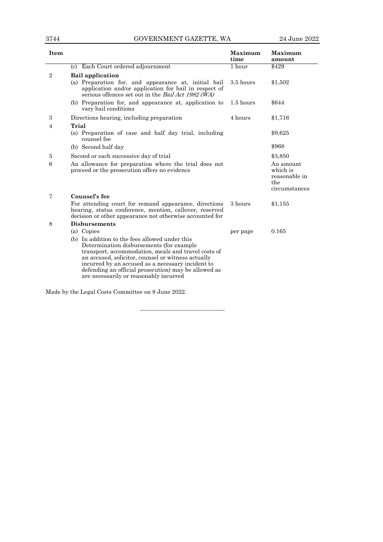| Item           |                                                                                                                                                                                                                                                                                                                                                                | <b>Maximum</b><br>time | Maximum<br>amount                                              |
|----------------|----------------------------------------------------------------------------------------------------------------------------------------------------------------------------------------------------------------------------------------------------------------------------------------------------------------------------------------------------------------|------------------------|----------------------------------------------------------------|
|                | Each Court ordered adjournment<br>(c)                                                                                                                                                                                                                                                                                                                          | 1 hour                 | \$429                                                          |
| $\overline{2}$ | <b>Bail application</b>                                                                                                                                                                                                                                                                                                                                        |                        |                                                                |
|                | (a) Preparation for, and appearance at, initial bail<br>application and/or application for bail in respect of<br>serious offences set out in the Bail Act 1982 (WA)                                                                                                                                                                                            | 3.5 hours              | \$1,502                                                        |
|                | (b) Preparation for, and appearance at, application to<br>vary bail conditions                                                                                                                                                                                                                                                                                 | $1.5$ hours            | \$644                                                          |
| 3              | Directions hearing, including preparation                                                                                                                                                                                                                                                                                                                      | 4 hours                | \$1,716                                                        |
| 4              | Trial                                                                                                                                                                                                                                                                                                                                                          |                        |                                                                |
|                | (a) Preparation of case and half day trial, including<br>counsel fee                                                                                                                                                                                                                                                                                           |                        | \$9,625                                                        |
|                | (b) Second half day                                                                                                                                                                                                                                                                                                                                            |                        | \$968                                                          |
| 5              | Second or each successive day of trial                                                                                                                                                                                                                                                                                                                         |                        | \$3,850                                                        |
| 6              | An allowance for preparation where the trial does not<br>proceed or the prosecution offers no evidence                                                                                                                                                                                                                                                         |                        | An amount<br>which is<br>reasonable in<br>the<br>circumstances |
| 7              | Counsel's fee                                                                                                                                                                                                                                                                                                                                                  |                        |                                                                |
|                | For attending court for remand appearance, directions<br>hearing, status conference, mention, callover, reserved<br>decision or other appearance not otherwise accounted for                                                                                                                                                                                   | 3 hours                | \$1,155                                                        |
| 8              | <b>Disbursements</b>                                                                                                                                                                                                                                                                                                                                           |                        |                                                                |
|                | (a) Copies                                                                                                                                                                                                                                                                                                                                                     | per page               | 0.165                                                          |
|                | (b) In addition to the fees allowed under this<br>Determination disbursements (for example<br>transport, accommodation, meals and travel costs of<br>an accused, solicitor, counsel or witness actually<br>incurred by an accused as a necessary incident to<br>defending an official prosecution) may be allowed as<br>are necessarily or reasonably incurred |                        |                                                                |
|                | Made by the Legal Costs Committee on 8 June 2022.                                                                                                                                                                                                                                                                                                              |                        |                                                                |

———————————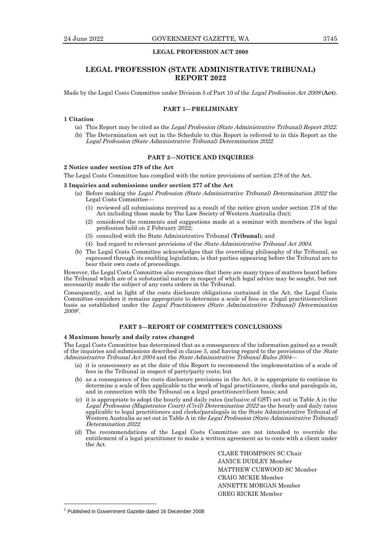# **LEGAL PROFESSION ACT 2008**

# **LEGAL PROFESSION (STATE ADMINISTRATIVE TRIBUNAL) REPORT 2022**

Made by the Legal Costs Committee under Division 5 of Part 10 of the Legal Profession Act <sup>2008</sup>(**Act**).

# **PART 1—PRELIMINARY**

# **1 Citation**

- (a) This Report may be cited as the Legal Profession (State Administrative Tribunal) Report <sup>2022</sup>.
- (b) The Determination set out in the Schedule to this Report is referred to in this Report as the Legal Profession (State Administrative Tribunal) Determination 2022.

# **PART 2—NOTICE AND INQUIRIES**

#### **2 Notice under section 278 of the Act**

The Legal Costs Committee has complied with the notice provisions of section 278 of the Act.

#### **3 Inquiries and submissions under section 277 of the Act**

- (a) Before making the Legal Profession (State Administrative Tribunal) Determination 2022 the Legal Costs Committee—
	- (1) reviewed all submissions received as a result of the notice given under section 278 of the Act including those made by The Law Society of Western Australia (Inc);
	- (2) considered the comments and suggestions made at a seminar with members of the legal profession held on 2 February 2022;
	- (3) consulted with the State Administrative Tribunal (**Tribunal**); and
	- (4) had regard to relevant provisions of the State Administrative Tribunal Act 2004.
- (b) The Legal Costs Committee acknowledges that the overriding philosophy of the Tribunal, as expressed through its enabling legislation, is that parties appearing before the Tribunal are to bear their own costs of proceedings.

However, the Legal Costs Committee also recognises that there are many types of matters heard before the Tribunal which are of a substantial nature in respect of which legal advice may be sought, but not necessarily made the subject of any costs orders in the Tribunal.

Consequently, and in light of the costs disclosure obligations contained in the Act, the Legal Costs Committee considers it remains appropriate to determine a scale of fees on a legal practitioner/client basis as established under the Legal Practitioners (State Administrative Tribunal) Determination 2008 1 .

# **PART 3—REPORT OF COMMITTEE'S CONCLUSIONS**

#### **4 Maximum hourly and daily rates changed**

The Legal Costs Committee has determined that as a consequence of the information gained as a result of the inquiries and submissions described in clause 3, and having regard to the provisions of the State Administrative Tribunal Act 2004 and the State Administrative Tribunal Rules 2004—

- (a) it is unnecessary as at the date of this Report to recommend the implementation of a scale of fees in the Tribunal in respect of party/party costs; but
- (b) as a consequence of the costs disclosure provisions in the Act, it is appropriate to continue to determine a scale of fees applicable to the work of legal practitioners, clerks and paralegals in, and in connection with the Tribunal on a legal practitioner/client basis; and
- (c) it is appropriate to adopt the hourly and daily rates (inclusive of GST) set out in Table A in the Legal Profession (Magistrates Court) (Civil) Determination 2022 as the hourly and daily rates applicable to legal practitioners and clerks/paralegals in the State Administrative Tribunal of Western Australia as set out in Table A in the Legal Profession (State Administrative Tribunal) Determination 2022.
- (d) The recommendations of the Legal Costs Committee are not intended to override the entitlement of a legal practitioner to make a written agreement as to costs with a client under the Act.

CLARE THOMPSON SC Chair JANICE DUDLEY Member MATTHEW CURWOOD SC Member CRAIG MCKIE Member ANNETTE MORGAN Member GREG RICKIE Member

<sup>&</sup>lt;sup>1</sup> Published in Government Gazette dated 16 December 2008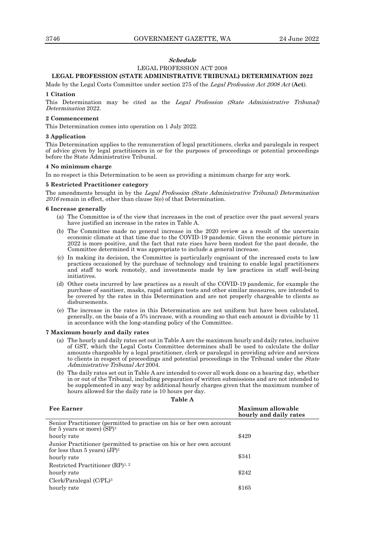# **Schedule** LEGAL PROFESSION ACT 2008

# **LEGAL PROFESSION (STATE ADMINISTRATIVE TRIBUNAL) DETERMINATION 2022**

Made by the Legal Costs Committee under section 275 of the Legal Profession Act 2008 Act (**Act**).

#### **1 Citation**

This Determination may be cited as the Legal Profession (State Administrative Tribunal) Determination 2022.

#### **2 Commencement**

This Determination comes into operation on 1 July 2022.

#### **3 Application**

This Determination applies to the remuneration of legal practitioners, clerks and paralegals in respect of advice given by legal practitioners in or for the purposes of proceedings or potential proceedings before the State Administrative Tribunal.

#### **4 No minimum charge**

In no respect is this Determination to be seen as providing a minimum charge for any work.

#### **5 Restricted Practitioner category**

The amendments brought in by the Legal Profession (State Administrative Tribunal) Determination 2016 remain in effect, other than clause 5(e) of that Determination.

#### **6 Increase generally**

- (a) The Committee is of the view that increases in the cost of practice over the past several years have justified an increase in the rates in Table A.
- (b) The Committee made no general increase in the 2020 review as a result of the uncertain economic climate at that time due to the COVID-19 pandemic. Given the economic picture in 2022 is more positive, and the fact that rate rises have been modest for the past decade, the Committee determined it was appropriate to include a general increase.
- (c) In making its decision, the Committee is particularly cognisant of the increased costs to law practices occasioned by the purchase of technology and training to enable legal practitioners and staff to work remotely, and investments made by law practices in staff well-being initiatives.
- (d) Other costs incurred by law practices as a result of the COVID-19 pandemic, for example the purchase of sanitiser, masks, rapid antigen tests and other similar measures, are intended to be covered by the rates in this Determination and are not properly chargeable to clients as disbursements.
- (e) The increase in the rates in this Determination are not uniform but have been calculated, generally, on the basis of a 5% increase, with a rounding so that each amount is divisible by 11 in accordance with the long-standing policy of the Committee.

#### **7 Maximum hourly and daily rates**

- (a) The hourly and daily rates set out in Table A are the maximum hourly and daily rates, inclusive of GST, which the Legal Costs Committee determines shall be used to calculate the dollar amounts chargeable by a legal practitioner, clerk or paralegal in providing advice and services to clients in respect of proceedings and potential proceedings in the Tribunal under the *State* Administrative Tribunal Act 2004.
- (b) The daily rates set out in Table A are intended to cover all work done on a hearing day, whether in or out of the Tribunal, including preparation of written submissions and are not intended to be supplemented in any way by additional hourly charges given that the maximum number of hours allowed for the daily rate is 10 hours per day.

#### **Table A**

| <b>Fee Earner</b>                                                                                       | Maximum allowable<br>hourly and daily rates |
|---------------------------------------------------------------------------------------------------------|---------------------------------------------|
| Senior Practitioner (permitted to practise on his or her own account<br>for 5 years or more) $(SP)^1$   |                                             |
| hourly rate                                                                                             | \$429                                       |
| Junior Practitioner (permitted to practise on his or her own account<br>for less than 5 years) $(JP)^1$ |                                             |
| hourly rate                                                                                             | \$341                                       |
| Restricted Practitioner $(RP)^{1,2}$                                                                    |                                             |
| hourly rate                                                                                             | \$242                                       |
| $Clerk/Paralegal (C/PL)^3$                                                                              |                                             |
| hourly rate                                                                                             | \$165                                       |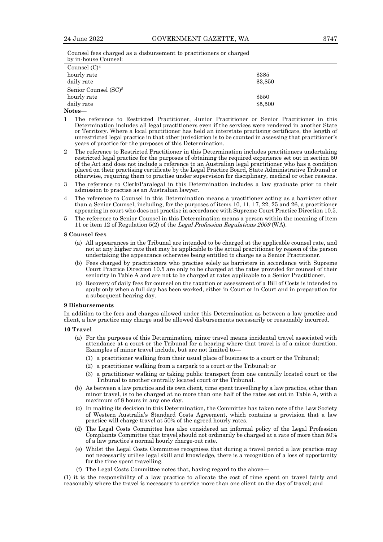Counsel fees charged as a disbursement to practitioners or charged by in-house Counsel:

| Counsel $(C)^4$                  |         |
|----------------------------------|---------|
| hourly rate                      | \$385   |
| daily rate                       | \$3,850 |
| Senior Counsel (SC) <sup>5</sup> |         |
| hourly rate                      | \$550   |
| daily rate                       | \$5,500 |
| Notes—                           |         |

- 1 The reference to Restricted Practitioner, Junior Practitioner or Senior Practitioner in this Determination includes all legal practitioners even if the services were rendered in another State or Territory. Where a local practitioner has held an interstate practising certificate, the length of unrestricted legal practice in that other jurisdiction is to be counted in assessing that practitioner's years of practice for the purposes of this Determination.
- 2 The reference to Restricted Practitioner in this Determination includes practitioners undertaking restricted legal practice for the purposes of obtaining the required experience set out in section 50 of the Act and does not include a reference to an Australian legal practitioner who has a condition placed on their practising certificate by the Legal Practice Board, State Administrative Tribunal or otherwise, requiring them to practise under supervision for disciplinary, medical or other reasons.
- 3 The reference to Clerk/Paralegal in this Determination includes a law graduate prior to their admission to practise as an Australian lawyer.
- 4 The reference to Counsel in this Determination means a practitioner acting as a barrister other than a Senior Counsel, including, for the purposes of items 10, 11, 17, 22, 25 and 26, a practitioner appearing in court who does not practise in accordance with Supreme Court Practice Direction 10.5.
- 5 The reference to Senior Counsel in this Determination means a person within the meaning of item 11 or item 12 of Regulation 5(2) of the Legal Profession Regulations <sup>2009</sup>(WA).

#### **8 Counsel fees**

- (a) All appearances in the Tribunal are intended to be charged at the applicable counsel rate, and not at any higher rate that may be applicable to the actual practitioner by reason of the person undertaking the appearance otherwise being entitled to charge as a Senior Practitioner.
- (b) Fees charged by practitioners who practise solely as barristers in accordance with Supreme Court Practice Direction 10.5 are only to be charged at the rates provided for counsel of their seniority in Table A and are not to be charged at rates applicable to a Senior Practitioner.
- (c) Recovery of daily fees for counsel on the taxation or assessment of a Bill of Costs is intended to apply only when a full day has been worked, either in Court or in Court and in preparation for a subsequent hearing day.

#### **9 Disbursements**

In addition to the fees and charges allowed under this Determination as between a law practice and client, a law practice may charge and be allowed disbursements necessarily or reasonably incurred.

#### **10 Travel**

- (a) For the purposes of this Determination, minor travel means incidental travel associated with attendance at a court or the Tribunal for a hearing where that travel is of a minor duration. Examples of minor travel include, but are not limited to—
	- (1) a practitioner walking from their usual place of business to a court or the Tribunal;
	- (2) a practitioner walking from a carpark to a court or the Tribunal; or
	- (3) a practitioner walking or taking public transport from one centrally located court or the Tribunal to another centrally located court or the Tribunal.
- (b) As between a law practice and its own client, time spent travelling by a law practice, other than minor travel, is to be charged at no more than one half of the rates set out in Table A, with a maximum of 8 hours in any one day.
- (c) In making its decision in this Determination, the Committee has taken note of the Law Society of Western Australia's Standard Costs Agreement, which contains a provision that a law practice will charge travel at 50% of the agreed hourly rates.
- (d) The Legal Costs Committee has also considered an informal policy of the Legal Profession Complaints Committee that travel should not ordinarily be charged at a rate of more than 50% of a law practice's normal hourly charge-out rate.
- (e) Whilst the Legal Costs Committee recognises that during a travel period a law practice may not necessarily utilise legal skill and knowledge, there is a recognition of a loss of opportunity for the time spent travelling.
- (f) The Legal Costs Committee notes that, having regard to the above—

(1) it is the responsibility of a law practice to allocate the cost of time spent on travel fairly and reasonably where the travel is necessary to service more than one client on the day of travel; and